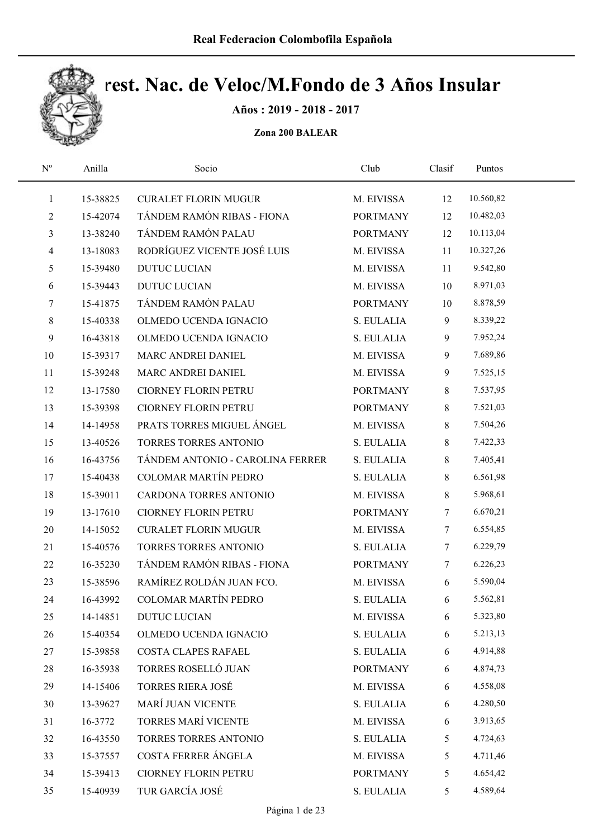

Años : 2019 - 2018 - 2017

| $\mathbf{N}^{\text{o}}$ | Anilla   | Socio                            | Club            | Clasif          | Puntos    |  |
|-------------------------|----------|----------------------------------|-----------------|-----------------|-----------|--|
| $\mathbf{1}$            | 15-38825 | <b>CURALET FLORIN MUGUR</b>      | M. EIVISSA      | 12              | 10.560,82 |  |
| 2                       | 15-42074 | TÁNDEM RAMÓN RIBAS - FIONA       | <b>PORTMANY</b> | 12              | 10.482,03 |  |
| 3                       | 13-38240 | TÁNDEM RAMÓN PALAU               | <b>PORTMANY</b> | 12              | 10.113,04 |  |
| $\overline{4}$          | 13-18083 | RODRÍGUEZ VICENTE JOSÉ LUIS      | M. EIVISSA      | 11              | 10.327,26 |  |
| 5                       | 15-39480 | <b>DUTUC LUCIAN</b>              | M. EIVISSA      | 11              | 9.542,80  |  |
| 6                       | 15-39443 | <b>DUTUC LUCIAN</b>              | M. EIVISSA      | 10              | 8.971,03  |  |
| 7                       | 15-41875 | TÁNDEM RAMÓN PALAU               | <b>PORTMANY</b> | $10\,$          | 8.878,59  |  |
| 8                       | 15-40338 | OLMEDO UCENDA IGNACIO            | S. EULALIA      | 9               | 8.339,22  |  |
| 9                       | 16-43818 | OLMEDO UCENDA IGNACIO            | S. EULALIA      | 9               | 7.952,24  |  |
| 10                      | 15-39317 | MARC ANDREI DANIEL               | M. EIVISSA      | 9               | 7.689,86  |  |
| 11                      | 15-39248 | MARC ANDREI DANIEL               | M. EIVISSA      | 9               | 7.525,15  |  |
| 12                      | 13-17580 | <b>CIORNEY FLORIN PETRU</b>      | <b>PORTMANY</b> | $8\,$           | 7.537,95  |  |
| 13                      | 15-39398 | <b>CIORNEY FLORIN PETRU</b>      | <b>PORTMANY</b> | $8\,$           | 7.521,03  |  |
| 14                      | 14-14958 | PRATS TORRES MIGUEL ÁNGEL        | M. EIVISSA      | $8\,$           | 7.504,26  |  |
| 15                      | 13-40526 | TORRES TORRES ANTONIO            | S. EULALIA      | $8\,$           | 7.422,33  |  |
| 16                      | 16-43756 | TÁNDEM ANTONIO - CAROLINA FERRER | S. EULALIA      | 8               | 7.405,41  |  |
| 17                      | 15-40438 | <b>COLOMAR MARTÍN PEDRO</b>      | S. EULALIA      | $8\,$           | 6.561,98  |  |
| 18                      | 15-39011 | CARDONA TORRES ANTONIO           | M. EIVISSA      | $8\,$           | 5.968,61  |  |
| 19                      | 13-17610 | <b>CIORNEY FLORIN PETRU</b>      | <b>PORTMANY</b> | $7\phantom{.0}$ | 6.670,21  |  |
| 20                      | 14-15052 | <b>CURALET FLORIN MUGUR</b>      | M. EIVISSA      | $7\phantom{.0}$ | 6.554,85  |  |
| 21                      | 15-40576 | TORRES TORRES ANTONIO            | S. EULALIA      | $7\phantom{.0}$ | 6.229,79  |  |
| 22                      | 16-35230 | TÁNDEM RAMÓN RIBAS - FIONA       | <b>PORTMANY</b> | $\tau$          | 6.226,23  |  |
| 23                      | 15-38596 | RAMÍREZ ROLDÁN JUAN FCO.         | M. EIVISSA      | 6               | 5.590,04  |  |
| 24                      | 16-43992 | <b>COLOMAR MARTÍN PEDRO</b>      | S. EULALIA      | 6               | 5.562,81  |  |
| 25                      | 14-14851 | <b>DUTUC LUCIAN</b>              | M. EIVISSA      | 6               | 5.323,80  |  |
| 26                      | 15-40354 | OLMEDO UCENDA IGNACIO            | S. EULALIA      | 6               | 5.213,13  |  |
| 27                      | 15-39858 | <b>COSTA CLAPES RAFAEL</b>       | S. EULALIA      | 6               | 4.914,88  |  |
| 28                      | 16-35938 | TORRES ROSELLÓ JUAN              | <b>PORTMANY</b> | 6               | 4.874,73  |  |
| 29                      | 14-15406 | <b>TORRES RIERA JOSÉ</b>         | M. EIVISSA      | 6               | 4.558,08  |  |
| 30                      | 13-39627 | MARÍ JUAN VICENTE                | S. EULALIA      | 6               | 4.280,50  |  |
| 31                      | 16-3772  | <b>TORRES MARÍ VICENTE</b>       | M. EIVISSA      | 6               | 3.913,65  |  |
| 32                      | 16-43550 | TORRES TORRES ANTONIO            | S. EULALIA      | 5               | 4.724,63  |  |
| 33                      | 15-37557 | COSTA FERRER ÁNGELA              | M. EIVISSA      | 5               | 4.711,46  |  |
| 34                      | 15-39413 | <b>CIORNEY FLORIN PETRU</b>      | <b>PORTMANY</b> | 5               | 4.654,42  |  |
| 35                      | 15-40939 | TUR GARCÍA JOSÉ                  | S. EULALIA      | 5               | 4.589,64  |  |
|                         |          |                                  |                 |                 |           |  |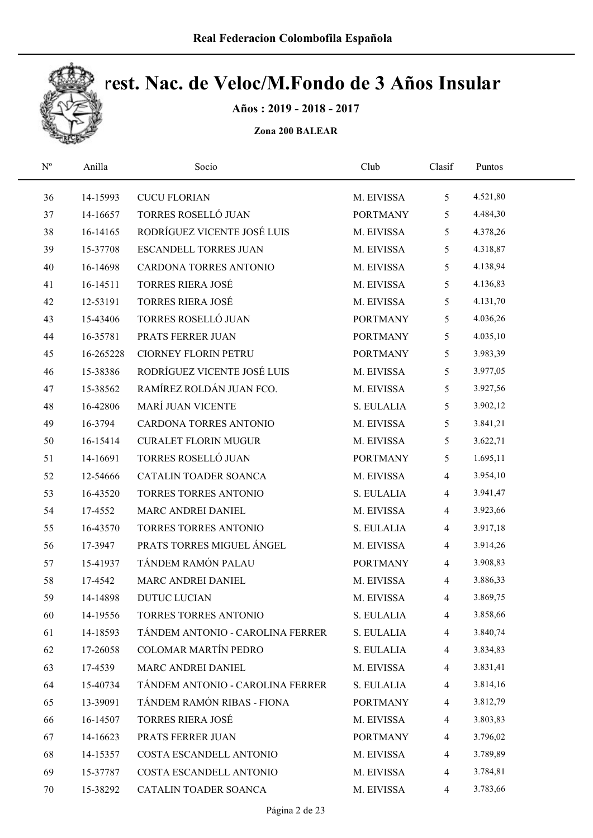

Años : 2019 - 2018 - 2017

| $\mathbf{N}^{\text{o}}$ | Anilla    | Socio                            | Club            | Clasif         | Puntos   |  |
|-------------------------|-----------|----------------------------------|-----------------|----------------|----------|--|
| 36                      | 14-15993  | <b>CUCU FLORIAN</b>              | M. EIVISSA      | 5              | 4.521,80 |  |
| 37                      | 14-16657  | TORRES ROSELLÓ JUAN              | <b>PORTMANY</b> | 5              | 4.484,30 |  |
| 38                      | 16-14165  | RODRÍGUEZ VICENTE JOSÉ LUIS      | M. EIVISSA      | 5              | 4.378,26 |  |
| 39                      | 15-37708  | <b>ESCANDELL TORRES JUAN</b>     | M. EIVISSA      | 5              | 4.318,87 |  |
| 40                      | 16-14698  | CARDONA TORRES ANTONIO           | M. EIVISSA      | 5              | 4.138,94 |  |
| 41                      | 16-14511  | <b>TORRES RIERA JOSÉ</b>         | M. EIVISSA      | 5              | 4.136,83 |  |
| 42                      | 12-53191  | <b>TORRES RIERA JOSÉ</b>         | M. EIVISSA      | 5              | 4.131,70 |  |
| 43                      | 15-43406  | TORRES ROSELLÓ JUAN              | <b>PORTMANY</b> | 5              | 4.036,26 |  |
| 44                      | 16-35781  | PRATS FERRER JUAN                | <b>PORTMANY</b> | 5              | 4.035,10 |  |
| 45                      | 16-265228 | <b>CIORNEY FLORIN PETRU</b>      | <b>PORTMANY</b> | 5              | 3.983,39 |  |
| 46                      | 15-38386  | RODRÍGUEZ VICENTE JOSÉ LUIS      | M. EIVISSA      | 5              | 3.977,05 |  |
| 47                      | 15-38562  | RAMÍREZ ROLDÁN JUAN FCO.         | M. EIVISSA      | 5              | 3.927,56 |  |
| 48                      | 16-42806  | <b>MARÍ JUAN VICENTE</b>         | S. EULALIA      | 5              | 3.902,12 |  |
| 49                      | 16-3794   | CARDONA TORRES ANTONIO           | M. EIVISSA      | 5              | 3.841,21 |  |
| 50                      | 16-15414  | <b>CURALET FLORIN MUGUR</b>      | M. EIVISSA      | 5              | 3.622,71 |  |
| 51                      | 14-16691  | TORRES ROSELLÓ JUAN              | <b>PORTMANY</b> | 5              | 1.695,11 |  |
| 52                      | 12-54666  | CATALIN TOADER SOANCA            | M. EIVISSA      | $\overline{4}$ | 3.954,10 |  |
| 53                      | 16-43520  | TORRES TORRES ANTONIO            | S. EULALIA      | $\overline{4}$ | 3.941,47 |  |
| 54                      | 17-4552   | MARC ANDREI DANIEL               | M. EIVISSA      | $\overline{4}$ | 3.923,66 |  |
| 55                      | 16-43570  | TORRES TORRES ANTONIO            | S. EULALIA      | $\overline{4}$ | 3.917,18 |  |
| 56                      | 17-3947   | PRATS TORRES MIGUEL ÁNGEL        | M. EIVISSA      | $\overline{4}$ | 3.914,26 |  |
| 57                      | 15-41937  | TÁNDEM RAMÓN PALAU               | <b>PORTMANY</b> | $\overline{4}$ | 3.908,83 |  |
| 58                      | 17-4542   | MARC ANDREI DANIEL               | M. EIVISSA      | $\overline{4}$ | 3.886,33 |  |
| 59                      | 14-14898  | <b>DUTUC LUCIAN</b>              | M. EIVISSA      | $\overline{4}$ | 3.869,75 |  |
| 60                      | 14-19556  | TORRES TORRES ANTONIO            | S. EULALIA      | 4              | 3.858,66 |  |
| 61                      | 14-18593  | TÁNDEM ANTONIO - CAROLINA FERRER | S. EULALIA      | 4              | 3.840,74 |  |
| 62                      | 17-26058  | COLOMAR MARTÍN PEDRO             | S. EULALIA      | 4              | 3.834,83 |  |
| 63                      | 17-4539   | MARC ANDREI DANIEL               | M. EIVISSA      | 4              | 3.831,41 |  |
| 64                      | 15-40734  | TÁNDEM ANTONIO - CAROLINA FERRER | S. EULALIA      | $\overline{4}$ | 3.814,16 |  |
| 65                      | 13-39091  | TÁNDEM RAMÓN RIBAS - FIONA       | <b>PORTMANY</b> | 4              | 3.812,79 |  |
| 66                      | 16-14507  | <b>TORRES RIERA JOSÉ</b>         | M. EIVISSA      | $\overline{4}$ | 3.803,83 |  |
| 67                      | 14-16623  | PRATS FERRER JUAN                | <b>PORTMANY</b> | 4              | 3.796,02 |  |
| 68                      | 14-15357  | COSTA ESCANDELL ANTONIO          | M. EIVISSA      | 4              | 3.789,89 |  |
| 69                      | 15-37787  | COSTA ESCANDELL ANTONIO          | M. EIVISSA      | 4              | 3.784,81 |  |
| 70                      | 15-38292  | CATALIN TOADER SOANCA            | M. EIVISSA      | $\overline{4}$ | 3.783,66 |  |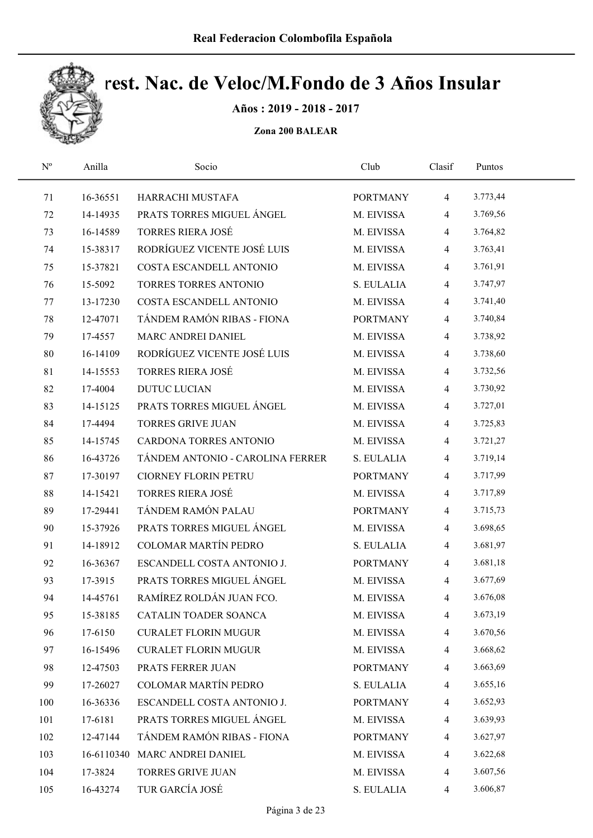

Años : 2019 - 2018 - 2017

| $\mathbf{N}^{\mathrm{o}}$ | Anilla   | Socio                            | Club            | Clasif         | Puntos   |  |
|---------------------------|----------|----------------------------------|-----------------|----------------|----------|--|
| 71                        | 16-36551 | HARRACHI MUSTAFA                 | <b>PORTMANY</b> | $\overline{4}$ | 3.773,44 |  |
| 72                        | 14-14935 | PRATS TORRES MIGUEL ANGEL        | M. EIVISSA      | 4              | 3.769,56 |  |
| 73                        | 16-14589 | <b>TORRES RIERA JOSÉ</b>         | M. EIVISSA      | $\overline{4}$ | 3.764,82 |  |
| 74                        | 15-38317 | RODRÍGUEZ VICENTE JOSÉ LUIS      | M. EIVISSA      | $\overline{4}$ | 3.763,41 |  |
| 75                        | 15-37821 | COSTA ESCANDELL ANTONIO          | M. EIVISSA      | $\overline{4}$ | 3.761,91 |  |
| 76                        | 15-5092  | TORRES TORRES ANTONIO            | S. EULALIA      | $\overline{4}$ | 3.747,97 |  |
| 77                        | 13-17230 | COSTA ESCANDELL ANTONIO          | M. EIVISSA      | $\overline{4}$ | 3.741,40 |  |
| 78                        | 12-47071 | TÁNDEM RAMÓN RIBAS - FIONA       | <b>PORTMANY</b> | $\overline{4}$ | 3.740,84 |  |
| 79                        | 17-4557  | MARC ANDREI DANIEL               | M. EIVISSA      | $\overline{4}$ | 3.738,92 |  |
| 80                        | 16-14109 | RODRÍGUEZ VICENTE JOSÉ LUIS      | M. EIVISSA      | $\overline{4}$ | 3.738,60 |  |
| 81                        | 14-15553 | <b>TORRES RIERA JOSÉ</b>         | M. EIVISSA      | $\overline{4}$ | 3.732,56 |  |
| 82                        | 17-4004  | <b>DUTUC LUCIAN</b>              | M. EIVISSA      | 4              | 3.730,92 |  |
| 83                        | 14-15125 | PRATS TORRES MIGUEL ÁNGEL        | M. EIVISSA      | 4              | 3.727,01 |  |
| 84                        | 17-4494  | <b>TORRES GRIVE JUAN</b>         | M. EIVISSA      | $\overline{4}$ | 3.725,83 |  |
| 85                        | 14-15745 | CARDONA TORRES ANTONIO           | M. EIVISSA      | $\overline{4}$ | 3.721,27 |  |
| 86                        | 16-43726 | TÁNDEM ANTONIO - CAROLINA FERRER | S. EULALIA      | $\overline{4}$ | 3.719,14 |  |
| 87                        | 17-30197 | <b>CIORNEY FLORIN PETRU</b>      | <b>PORTMANY</b> | $\overline{4}$ | 3.717,99 |  |
| 88                        | 14-15421 | <b>TORRES RIERA JOSÉ</b>         | M. EIVISSA      | 4              | 3.717,89 |  |
| 89                        | 17-29441 | TÁNDEM RAMÓN PALAU               | <b>PORTMANY</b> | $\overline{4}$ | 3.715,73 |  |
| 90                        | 15-37926 | PRATS TORRES MIGUEL ÁNGEL        | M. EIVISSA      | $\overline{4}$ | 3.698,65 |  |
| 91                        | 14-18912 | <b>COLOMAR MARTÍN PEDRO</b>      | S. EULALIA      | $\overline{4}$ | 3.681,97 |  |
| 92                        | 16-36367 | ESCANDELL COSTA ANTONIO J.       | <b>PORTMANY</b> | $\overline{4}$ | 3.681,18 |  |
| 93                        | 17-3915  | PRATS TORRES MIGUEL ÁNGEL        | M. EIVISSA      | 4              | 3.677,69 |  |
| 94                        | 14-45761 | RAMÍREZ ROLDÁN JUAN FCO.         | M. EIVISSA      | 4              | 3.676,08 |  |
| 95                        | 15-38185 | CATALIN TOADER SOANCA            | M. EIVISSA      | 4              | 3.673,19 |  |
| 96                        | 17-6150  | <b>CURALET FLORIN MUGUR</b>      | M. EIVISSA      | 4              | 3.670,56 |  |
| 97                        | 16-15496 | <b>CURALET FLORIN MUGUR</b>      | M. EIVISSA      | 4              | 3.668,62 |  |
| 98                        | 12-47503 | PRATS FERRER JUAN                | <b>PORTMANY</b> | 4              | 3.663,69 |  |
| 99                        | 17-26027 | <b>COLOMAR MARTÍN PEDRO</b>      | S. EULALIA      | 4              | 3.655,16 |  |
| 100                       | 16-36336 | ESCANDELL COSTA ANTONIO J.       | <b>PORTMANY</b> | 4              | 3.652,93 |  |
| 101                       | 17-6181  | PRATS TORRES MIGUEL ÁNGEL        | M. EIVISSA      | 4              | 3.639,93 |  |
| 102                       | 12-47144 | TÁNDEM RAMÓN RIBAS - FIONA       | <b>PORTMANY</b> | 4              | 3.627,97 |  |
| 103                       |          | 16-6110340 MARC ANDREI DANIEL    | M. EIVISSA      | 4              | 3.622,68 |  |
| 104                       | 17-3824  | <b>TORRES GRIVE JUAN</b>         | M. EIVISSA      | 4              | 3.607,56 |  |
| 105                       | 16-43274 | TUR GARCÍA JOSÉ                  | S. EULALIA      | $\overline{4}$ | 3.606,87 |  |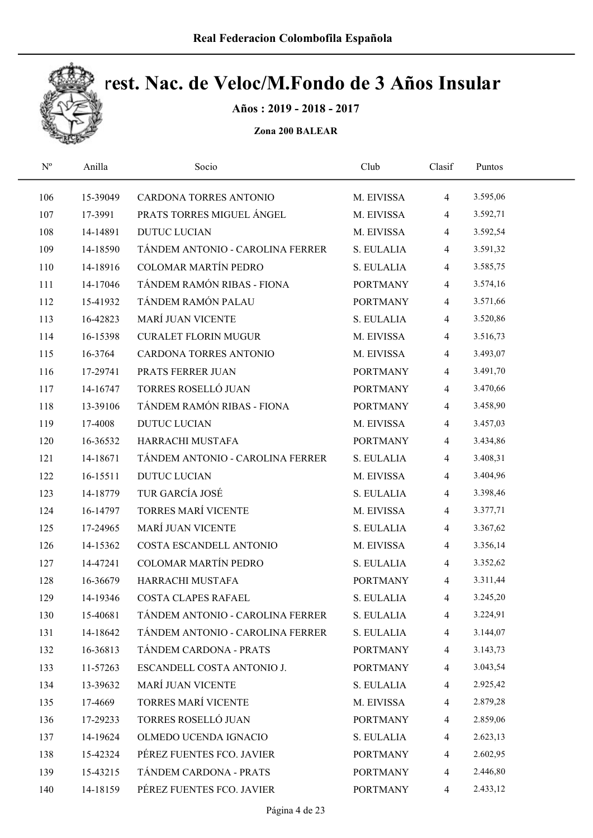

Años : 2019 - 2018 - 2017

| $\mathrm{N}^{\rm o}$ | Anilla   | Socio                            | Club            | Clasif         | Puntos   |  |
|----------------------|----------|----------------------------------|-----------------|----------------|----------|--|
| 106                  | 15-39049 | CARDONA TORRES ANTONIO           | M. EIVISSA      | $\overline{4}$ | 3.595,06 |  |
| 107                  | 17-3991  | PRATS TORRES MIGUEL ÁNGEL        | M. EIVISSA      | $\overline{4}$ | 3.592,71 |  |
| 108                  | 14-14891 | <b>DUTUC LUCIAN</b>              | M. EIVISSA      | $\overline{4}$ | 3.592,54 |  |
| 109                  | 14-18590 | TÁNDEM ANTONIO - CAROLINA FERRER | S. EULALIA      | $\overline{4}$ | 3.591,32 |  |
| 110                  | 14-18916 | COLOMAR MARTÍN PEDRO             | S. EULALIA      | $\overline{4}$ | 3.585,75 |  |
| 111                  | 14-17046 | TÁNDEM RAMÓN RIBAS - FIONA       | <b>PORTMANY</b> | $\overline{4}$ | 3.574,16 |  |
| 112                  | 15-41932 | TÁNDEM RAMÓN PALAU               | <b>PORTMANY</b> | $\overline{4}$ | 3.571,66 |  |
| 113                  | 16-42823 | MARÍ JUAN VICENTE                | S. EULALIA      | $\overline{4}$ | 3.520,86 |  |
| 114                  | 16-15398 | <b>CURALET FLORIN MUGUR</b>      | M. EIVISSA      | $\overline{4}$ | 3.516,73 |  |
| 115                  | 16-3764  | CARDONA TORRES ANTONIO           | M. EIVISSA      | $\overline{4}$ | 3.493,07 |  |
| 116                  | 17-29741 | PRATS FERRER JUAN                | <b>PORTMANY</b> | $\overline{4}$ | 3.491,70 |  |
| 117                  | 14-16747 | TORRES ROSELLÓ JUAN              | <b>PORTMANY</b> | $\overline{4}$ | 3.470,66 |  |
| 118                  | 13-39106 | TÁNDEM RAMÓN RIBAS - FIONA       | <b>PORTMANY</b> | $\overline{4}$ | 3.458,90 |  |
| 119                  | 17-4008  | <b>DUTUC LUCIAN</b>              | M. EIVISSA      | $\overline{4}$ | 3.457,03 |  |
| 120                  | 16-36532 | HARRACHI MUSTAFA                 | <b>PORTMANY</b> | $\overline{4}$ | 3.434,86 |  |
| 121                  | 14-18671 | TÁNDEM ANTONIO - CAROLINA FERRER | S. EULALIA      | $\overline{4}$ | 3.408,31 |  |
| 122                  | 16-15511 | <b>DUTUC LUCIAN</b>              | M. EIVISSA      | $\overline{4}$ | 3.404,96 |  |
| 123                  | 14-18779 | TUR GARCÍA JOSÉ                  | S. EULALIA      | $\overline{4}$ | 3.398,46 |  |
| 124                  | 16-14797 | <b>TORRES MARÍ VICENTE</b>       | M. EIVISSA      | $\overline{4}$ | 3.377,71 |  |
| 125                  | 17-24965 | MARÍ JUAN VICENTE                | S. EULALIA      | $\overline{4}$ | 3.367,62 |  |
| 126                  | 14-15362 | COSTA ESCANDELL ANTONIO          | M. EIVISSA      | $\overline{4}$ | 3.356,14 |  |
| 127                  | 14-47241 | <b>COLOMAR MARTÍN PEDRO</b>      | S. EULALIA      | $\overline{4}$ | 3.352,62 |  |
| 128                  | 16-36679 | HARRACHI MUSTAFA                 | <b>PORTMANY</b> | $\overline{4}$ | 3.311,44 |  |
| 129                  | 14-19346 | COSTA CLAPES RAFAEL              | S. EULALIA      | $\overline{4}$ | 3.245,20 |  |
| 130                  | 15-40681 | TÁNDEM ANTONIO - CAROLINA FERRER | S. EULALIA      | 4              | 3.224,91 |  |
| 131                  | 14-18642 | TÁNDEM ANTONIO - CAROLINA FERRER | S. EULALIA      | 4              | 3.144,07 |  |
| 132                  | 16-36813 | TÁNDEM CARDONA - PRATS           | <b>PORTMANY</b> | 4              | 3.143,73 |  |
| 133                  | 11-57263 | ESCANDELL COSTA ANTONIO J.       | <b>PORTMANY</b> | $\overline{4}$ | 3.043,54 |  |
| 134                  | 13-39632 | <b>MARÍ JUAN VICENTE</b>         | S. EULALIA      | $\overline{4}$ | 2.925,42 |  |
| 135                  | 17-4669  | TORRES MARÍ VICENTE              | M. EIVISSA      | 4              | 2.879,28 |  |
| 136                  | 17-29233 | TORRES ROSELLÓ JUAN              | <b>PORTMANY</b> | 4              | 2.859,06 |  |
| 137                  | 14-19624 | OLMEDO UCENDA IGNACIO            | S. EULALIA      | 4              | 2.623,13 |  |
| 138                  | 15-42324 | PÉREZ FUENTES FCO. JAVIER        | <b>PORTMANY</b> | 4              | 2.602,95 |  |
| 139                  | 15-43215 | TÁNDEM CARDONA - PRATS           | <b>PORTMANY</b> | 4              | 2.446,80 |  |
| 140                  | 14-18159 | PÉREZ FUENTES FCO. JAVIER        | <b>PORTMANY</b> | $\overline{4}$ | 2.433,12 |  |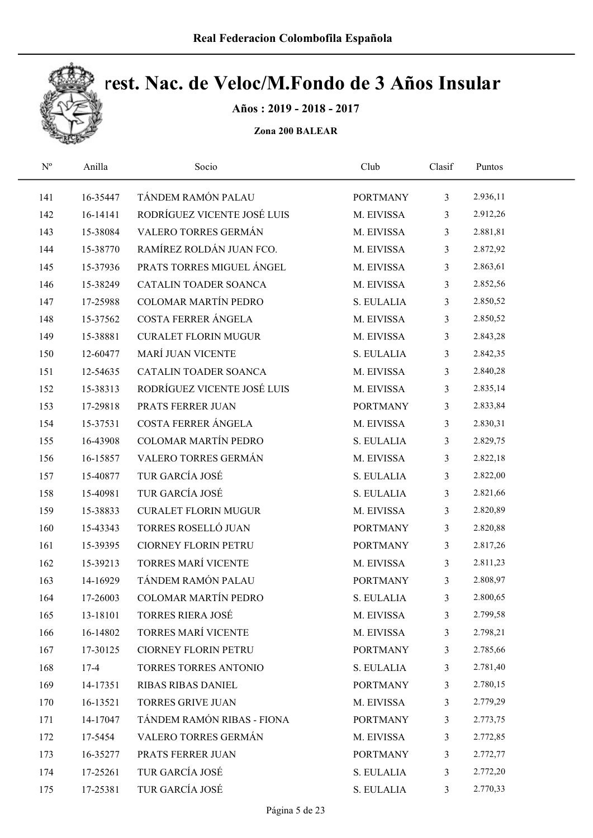

Años : 2019 - 2018 - 2017

| $N^{\rm o}$ | Anilla   | Socio                       | Club            | Clasif         | Puntos   |  |
|-------------|----------|-----------------------------|-----------------|----------------|----------|--|
| 141         | 16-35447 | TÁNDEM RAMÓN PALAU          | <b>PORTMANY</b> | $\mathfrak{Z}$ | 2.936,11 |  |
| 142         | 16-14141 | RODRÍGUEZ VICENTE JOSÉ LUIS | M. EIVISSA      | 3              | 2.912,26 |  |
| 143         | 15-38084 | VALERO TORRES GERMÁN        | M. EIVISSA      | 3              | 2.881,81 |  |
| 144         | 15-38770 | RAMÍREZ ROLDÁN JUAN FCO.    | M. EIVISSA      | $\overline{3}$ | 2.872,92 |  |
| 145         | 15-37936 | PRATS TORRES MIGUEL ÁNGEL   | M. EIVISSA      | 3              | 2.863,61 |  |
| 146         | 15-38249 | CATALIN TOADER SOANCA       | M. EIVISSA      | 3              | 2.852,56 |  |
| 147         | 17-25988 | <b>COLOMAR MARTÍN PEDRO</b> | S. EULALIA      | $\mathfrak{Z}$ | 2.850,52 |  |
| 148         | 15-37562 | COSTA FERRER ÁNGELA         | M. EIVISSA      | 3              | 2.850,52 |  |
| 149         | 15-38881 | <b>CURALET FLORIN MUGUR</b> | M. EIVISSA      | 3              | 2.843,28 |  |
| 150         | 12-60477 | <b>MARÍ JUAN VICENTE</b>    | S. EULALIA      | 3              | 2.842,35 |  |
| 151         | 12-54635 | CATALIN TOADER SOANCA       | M. EIVISSA      | 3              | 2.840,28 |  |
| 152         | 15-38313 | RODRÍGUEZ VICENTE JOSÉ LUIS | M. EIVISSA      | 3              | 2.835,14 |  |
| 153         | 17-29818 | PRATS FERRER JUAN           | <b>PORTMANY</b> | $\mathfrak{Z}$ | 2.833,84 |  |
| 154         | 15-37531 | COSTA FERRER ÁNGELA         | M. EIVISSA      | 3              | 2.830,31 |  |
| 155         | 16-43908 | <b>COLOMAR MARTÍN PEDRO</b> | S. EULALIA      | 3              | 2.829,75 |  |
| 156         | 16-15857 | VALERO TORRES GERMÁN        | M. EIVISSA      | $\mathfrak{Z}$ | 2.822,18 |  |
| 157         | 15-40877 | TUR GARCÍA JOSÉ             | S. EULALIA      | 3              | 2.822,00 |  |
| 158         | 15-40981 | TUR GARCÍA JOSÉ             | S. EULALIA      | 3              | 2.821,66 |  |
| 159         | 15-38833 | <b>CURALET FLORIN MUGUR</b> | M. EIVISSA      | $\overline{3}$ | 2.820,89 |  |
| 160         | 15-43343 | TORRES ROSELLÓ JUAN         | <b>PORTMANY</b> | 3              | 2.820,88 |  |
| 161         | 15-39395 | <b>CIORNEY FLORIN PETRU</b> | <b>PORTMANY</b> | 3              | 2.817,26 |  |
| 162         | 15-39213 | TORRES MARÍ VICENTE         | M. EIVISSA      | 3              | 2.811,23 |  |
| 163         | 14-16929 | TÁNDEM RAMÓN PALAU          | <b>PORTMANY</b> | 3              | 2.808,97 |  |
| 164         | 17-26003 | <b>COLOMAR MARTÍN PEDRO</b> | S. EULALIA      | 3              | 2.800,65 |  |
| 165         | 13-18101 | <b>TORRES RIERA JOSÉ</b>    | M. EIVISSA      | 3              | 2.799,58 |  |
| 166         | 16-14802 | TORRES MARÍ VICENTE         | M. EIVISSA      | 3              | 2.798,21 |  |
| 167         | 17-30125 | <b>CIORNEY FLORIN PETRU</b> | <b>PORTMANY</b> | 3              | 2.785,66 |  |
| 168         | $17-4$   | TORRES TORRES ANTONIO       | S. EULALIA      | 3              | 2.781,40 |  |
| 169         | 14-17351 | RIBAS RIBAS DANIEL          | <b>PORTMANY</b> | 3              | 2.780,15 |  |
| 170         | 16-13521 | <b>TORRES GRIVE JUAN</b>    | M. EIVISSA      | 3              | 2.779,29 |  |
| 171         | 14-17047 | TÁNDEM RAMÓN RIBAS - FIONA  | <b>PORTMANY</b> | 3              | 2.773,75 |  |
| 172         | 17-5454  | VALERO TORRES GERMÁN        | M. EIVISSA      | 3              | 2.772,85 |  |
| 173         | 16-35277 | PRATS FERRER JUAN           | <b>PORTMANY</b> | 3              | 2.772,77 |  |
| 174         | 17-25261 | TUR GARCÍA JOSÉ             | S. EULALIA      | 3              | 2.772,20 |  |
| 175         | 17-25381 | TUR GARCÍA JOSÉ             | S. EULALIA      | 3              | 2.770,33 |  |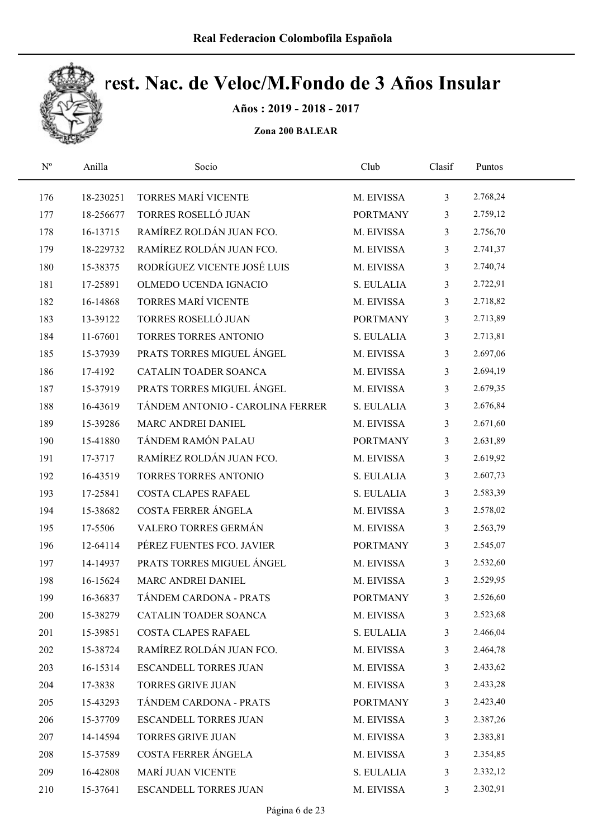

Años : 2019 - 2018 - 2017

| $N^{\rm o}$ | Anilla    | Socio                            | Club            | Clasif         | Puntos   |  |
|-------------|-----------|----------------------------------|-----------------|----------------|----------|--|
| 176         | 18-230251 | TORRES MARÍ VICENTE              | M. EIVISSA      | $\mathfrak{Z}$ | 2.768,24 |  |
| 177         | 18-256677 | TORRES ROSELLÓ JUAN              | <b>PORTMANY</b> | 3              | 2.759,12 |  |
| 178         | 16-13715  | RAMÍREZ ROLDÁN JUAN FCO.         | M. EIVISSA      | 3              | 2.756,70 |  |
| 179         | 18-229732 | RAMÍREZ ROLDÁN JUAN FCO.         | M. EIVISSA      | $\overline{3}$ | 2.741,37 |  |
| 180         | 15-38375  | RODRÍGUEZ VICENTE JOSÉ LUIS      | M. EIVISSA      | 3              | 2.740,74 |  |
| 181         | 17-25891  | OLMEDO UCENDA IGNACIO            | S. EULALIA      | 3              | 2.722,91 |  |
| 182         | 16-14868  | TORRES MARÍ VICENTE              | M. EIVISSA      | $\mathfrak{Z}$ | 2.718,82 |  |
| 183         | 13-39122  | TORRES ROSELLÓ JUAN              | <b>PORTMANY</b> | 3              | 2.713,89 |  |
| 184         | 11-67601  | TORRES TORRES ANTONIO            | S. EULALIA      | 3              | 2.713,81 |  |
| 185         | 15-37939  | PRATS TORRES MIGUEL ÁNGEL        | M. EIVISSA      | 3              | 2.697,06 |  |
| 186         | 17-4192   | CATALIN TOADER SOANCA            | M. EIVISSA      | 3              | 2.694,19 |  |
| 187         | 15-37919  | PRATS TORRES MIGUEL ANGEL        | M. EIVISSA      | 3              | 2.679,35 |  |
| 188         | 16-43619  | TÁNDEM ANTONIO - CAROLINA FERRER | S. EULALIA      | 3              | 2.676,84 |  |
| 189         | 15-39286  | MARC ANDREI DANIEL               | M. EIVISSA      | 3              | 2.671,60 |  |
| 190         | 15-41880  | TÁNDEM RAMÓN PALAU               | <b>PORTMANY</b> | 3              | 2.631,89 |  |
| 191         | 17-3717   | RAMÍREZ ROLDÁN JUAN FCO.         | M. EIVISSA      | 3              | 2.619,92 |  |
| 192         | 16-43519  | TORRES TORRES ANTONIO            | S. EULALIA      | 3              | 2.607,73 |  |
| 193         | 17-25841  | COSTA CLAPES RAFAEL              | S. EULALIA      | 3              | 2.583,39 |  |
| 194         | 15-38682  | COSTA FERRER ÁNGELA              | M. EIVISSA      | 3              | 2.578,02 |  |
| 195         | 17-5506   | VALERO TORRES GERMÁN             | M. EIVISSA      | 3              | 2.563,79 |  |
| 196         | 12-64114  | PÉREZ FUENTES FCO. JAVIER        | <b>PORTMANY</b> | 3              | 2.545,07 |  |
| 197         | 14-14937  | PRATS TORRES MIGUEL ÁNGEL        | M. EIVISSA      | 3              | 2.532,60 |  |
| 198         | 16-15624  | MARC ANDREI DANIEL               | M. EIVISSA      | 3              | 2.529,95 |  |
| 199         | 16-36837  | TÁNDEM CARDONA - PRATS           | <b>PORTMANY</b> | 3              | 2.526,60 |  |
| 200         | 15-38279  | CATALIN TOADER SOANCA            | M. EIVISSA      | 3              | 2.523,68 |  |
| 201         | 15-39851  | COSTA CLAPES RAFAEL              | S. EULALIA      | 3              | 2.466,04 |  |
| 202         | 15-38724  | RAMÍREZ ROLDÁN JUAN FCO.         | M. EIVISSA      | 3              | 2.464,78 |  |
| 203         | 16-15314  | ESCANDELL TORRES JUAN            | M. EIVISSA      | 3              | 2.433,62 |  |
| 204         | 17-3838   | TORRES GRIVE JUAN                | M. EIVISSA      | 3              | 2.433,28 |  |
| 205         | 15-43293  | TÁNDEM CARDONA - PRATS           | <b>PORTMANY</b> | 3              | 2.423,40 |  |
| 206         | 15-37709  | ESCANDELL TORRES JUAN            | M. EIVISSA      | 3              | 2.387,26 |  |
| 207         | 14-14594  | TORRES GRIVE JUAN                | M. EIVISSA      | 3              | 2.383,81 |  |
| 208         | 15-37589  | COSTA FERRER ÁNGELA              | M. EIVISSA      | 3              | 2.354,85 |  |
| 209         | 16-42808  | <b>MARÍ JUAN VICENTE</b>         | S. EULALIA      | 3              | 2.332,12 |  |
| 210         | 15-37641  | ESCANDELL TORRES JUAN            | M. EIVISSA      | 3              | 2.302,91 |  |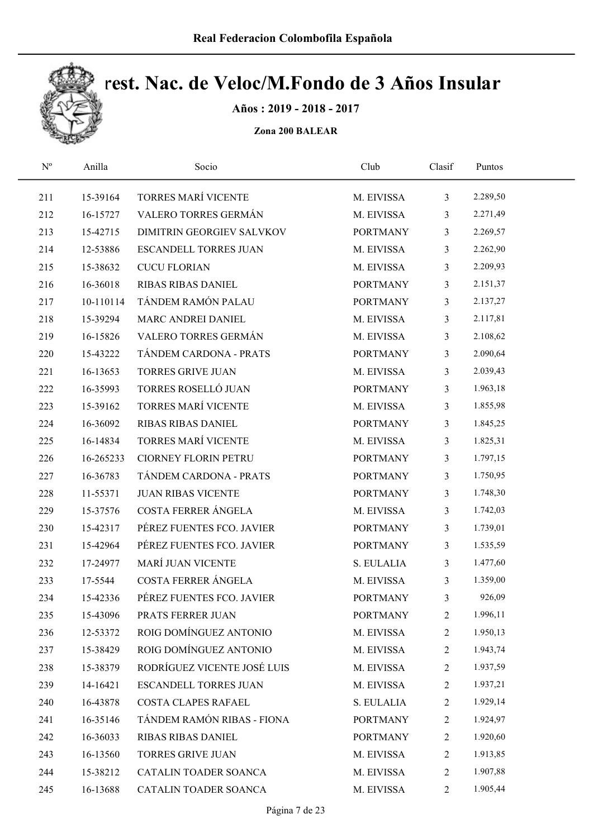

Años : 2019 - 2018 - 2017

| $\mathbf{N}^{\text{o}}$ | Anilla    | Socio                        | Club            | Clasif         | Puntos   |  |
|-------------------------|-----------|------------------------------|-----------------|----------------|----------|--|
| 211                     | 15-39164  | TORRES MARÍ VICENTE          | M. EIVISSA      | $\mathfrak{Z}$ | 2.289,50 |  |
| 212                     | 16-15727  | VALERO TORRES GERMÁN         | M. EIVISSA      | $\mathfrak{Z}$ | 2.271,49 |  |
| 213                     | 15-42715  | DIMITRIN GEORGIEV SALVKOV    | <b>PORTMANY</b> | $\mathfrak{Z}$ | 2.269,57 |  |
| 214                     | 12-53886  | <b>ESCANDELL TORRES JUAN</b> | M. EIVISSA      | $\mathfrak{Z}$ | 2.262,90 |  |
| 215                     | 15-38632  | <b>CUCU FLORIAN</b>          | M. EIVISSA      | $\mathfrak{Z}$ | 2.209,93 |  |
| 216                     | 16-36018  | <b>RIBAS RIBAS DANIEL</b>    | <b>PORTMANY</b> | $\mathfrak{Z}$ | 2.151,37 |  |
| 217                     | 10-110114 | TÁNDEM RAMÓN PALAU           | <b>PORTMANY</b> | $\mathfrak{Z}$ | 2.137,27 |  |
| 218                     | 15-39294  | MARC ANDREI DANIEL           | M. EIVISSA      | $\mathfrak{Z}$ | 2.117,81 |  |
| 219                     | 16-15826  | VALERO TORRES GERMÁN         | M. EIVISSA      | 3              | 2.108,62 |  |
| 220                     | 15-43222  | TÁNDEM CARDONA - PRATS       | <b>PORTMANY</b> | 3              | 2.090,64 |  |
| 221                     | 16-13653  | <b>TORRES GRIVE JUAN</b>     | M. EIVISSA      | $\mathfrak{Z}$ | 2.039,43 |  |
| 222                     | 16-35993  | TORRES ROSELLÓ JUAN          | <b>PORTMANY</b> | 3              | 1.963,18 |  |
| 223                     | 15-39162  | TORRES MARÍ VICENTE          | M. EIVISSA      | $\mathfrak{Z}$ | 1.855,98 |  |
| 224                     | 16-36092  | RIBAS RIBAS DANIEL           | <b>PORTMANY</b> | $\mathfrak{Z}$ | 1.845,25 |  |
| 225                     | 16-14834  | TORRES MARÍ VICENTE          | M. EIVISSA      | $\mathfrak{Z}$ | 1.825,31 |  |
| 226                     | 16-265233 | <b>CIORNEY FLORIN PETRU</b>  | <b>PORTMANY</b> | 3              | 1.797,15 |  |
| 227                     | 16-36783  | TÁNDEM CARDONA - PRATS       | <b>PORTMANY</b> | $\mathfrak{Z}$ | 1.750,95 |  |
| 228                     | 11-55371  | <b>JUAN RIBAS VICENTE</b>    | <b>PORTMANY</b> | $\mathfrak{Z}$ | 1.748,30 |  |
| 229                     | 15-37576  | COSTA FERRER ÁNGELA          | M. EIVISSA      | $\mathfrak{Z}$ | 1.742,03 |  |
| 230                     | 15-42317  | PÉREZ FUENTES FCO. JAVIER    | <b>PORTMANY</b> | 3              | 1.739,01 |  |
| 231                     | 15-42964  | PÉREZ FUENTES FCO. JAVIER    | <b>PORTMANY</b> | $\mathfrak{Z}$ | 1.535,59 |  |
| 232                     | 17-24977  | <b>MARÍ JUAN VICENTE</b>     | S. EULALIA      | $\mathfrak{Z}$ | 1.477,60 |  |
| 233                     | 17-5544   | COSTA FERRER ÁNGELA          | M. EIVISSA      | $\mathfrak{Z}$ | 1.359,00 |  |
| 234                     | 15-42336  | PÉREZ FUENTES FCO. JAVIER    | <b>PORTMANY</b> | 3              | 926,09   |  |
| 235                     | 15-43096  | PRATS FERRER JUAN            | <b>PORTMANY</b> | $\overline{c}$ | 1.996,11 |  |
| 236                     | 12-53372  | ROIG DOMÍNGUEZ ANTONIO       | M. EIVISSA      | $\overline{2}$ | 1.950,13 |  |
| 237                     | 15-38429  | ROIG DOMÍNGUEZ ANTONIO       | M. EIVISSA      | $\overline{2}$ | 1.943,74 |  |
| 238                     | 15-38379  | RODRÍGUEZ VICENTE JOSÉ LUIS  | M. EIVISSA      | $\overline{2}$ | 1.937,59 |  |
| 239                     | 14-16421  | ESCANDELL TORRES JUAN        | M. EIVISSA      | $\overline{2}$ | 1.937,21 |  |
| 240                     | 16-43878  | COSTA CLAPES RAFAEL          | S. EULALIA      | $\overline{2}$ | 1.929,14 |  |
| 241                     | 16-35146  | TÁNDEM RAMÓN RIBAS - FIONA   | <b>PORTMANY</b> | $\overline{2}$ | 1.924,97 |  |
| 242                     | 16-36033  | RIBAS RIBAS DANIEL           | <b>PORTMANY</b> | 2              | 1.920,60 |  |
| 243                     | 16-13560  | TORRES GRIVE JUAN            | M. EIVISSA      | $\overline{2}$ | 1.913,85 |  |
| 244                     | 15-38212  | CATALIN TOADER SOANCA        | M. EIVISSA      | $\overline{2}$ | 1.907,88 |  |
| 245                     | 16-13688  | CATALIN TOADER SOANCA        | M. EIVISSA      | $\overline{2}$ | 1.905,44 |  |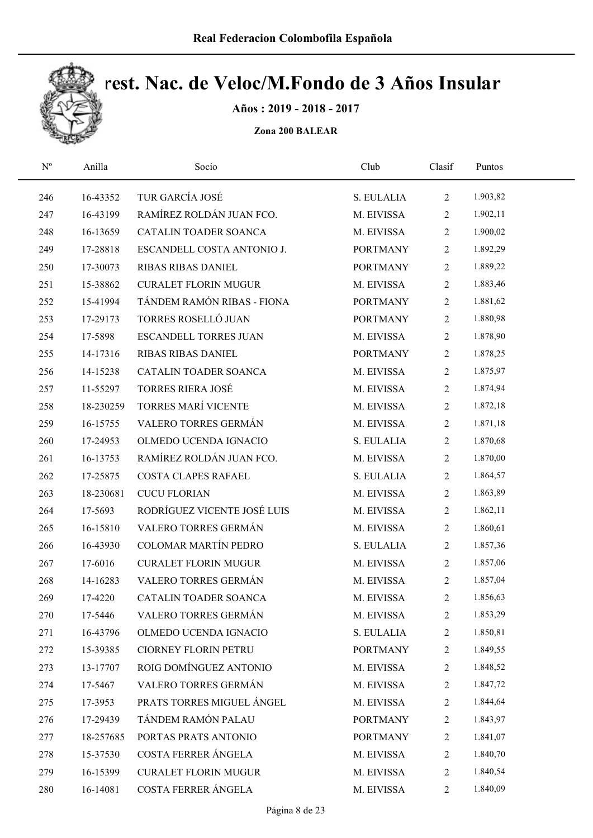

Años : 2019 - 2018 - 2017

| $\mathbf{N}^{\mathrm{o}}$ | Anilla    | Socio                        | Club            | Clasif         | Puntos   |  |
|---------------------------|-----------|------------------------------|-----------------|----------------|----------|--|
| 246                       | 16-43352  | TUR GARCÍA JOSÉ              | S. EULALIA      | $\overline{2}$ | 1.903,82 |  |
| 247                       | 16-43199  | RAMÍREZ ROLDÁN JUAN FCO.     | M. EIVISSA      | $\overline{2}$ | 1.902,11 |  |
| 248                       | 16-13659  | CATALIN TOADER SOANCA        | M. EIVISSA      | $\overline{2}$ | 1.900,02 |  |
| 249                       | 17-28818  | ESCANDELL COSTA ANTONIO J.   | <b>PORTMANY</b> | $\overline{2}$ | 1.892,29 |  |
| 250                       | 17-30073  | RIBAS RIBAS DANIEL           | <b>PORTMANY</b> | $\overline{2}$ | 1.889,22 |  |
| 251                       | 15-38862  | <b>CURALET FLORIN MUGUR</b>  | M. EIVISSA      | $\overline{2}$ | 1.883,46 |  |
| 252                       | 15-41994  | TÁNDEM RAMÓN RIBAS - FIONA   | <b>PORTMANY</b> | $\overline{2}$ | 1.881,62 |  |
| 253                       | 17-29173  | TORRES ROSELLÓ JUAN          | <b>PORTMANY</b> | $\overline{2}$ | 1.880,98 |  |
| 254                       | 17-5898   | <b>ESCANDELL TORRES JUAN</b> | M. EIVISSA      | $\overline{2}$ | 1.878,90 |  |
| 255                       | 14-17316  | RIBAS RIBAS DANIEL           | <b>PORTMANY</b> | $\overline{2}$ | 1.878,25 |  |
| 256                       | 14-15238  | CATALIN TOADER SOANCA        | M. EIVISSA      | $\overline{2}$ | 1.875,97 |  |
| 257                       | 11-55297  | <b>TORRES RIERA JOSÉ</b>     | M. EIVISSA      | $\overline{2}$ | 1.874,94 |  |
| 258                       | 18-230259 | <b>TORRES MARÍ VICENTE</b>   | M. EIVISSA      | $\overline{2}$ | 1.872,18 |  |
| 259                       | 16-15755  | VALERO TORRES GERMÁN         | M. EIVISSA      | $\overline{2}$ | 1.871,18 |  |
| 260                       | 17-24953  | OLMEDO UCENDA IGNACIO        | S. EULALIA      | $\overline{2}$ | 1.870,68 |  |
| 261                       | 16-13753  | RAMÍREZ ROLDÁN JUAN FCO.     | M. EIVISSA      | $\overline{2}$ | 1.870,00 |  |
| 262                       | 17-25875  | COSTA CLAPES RAFAEL          | S. EULALIA      | $\overline{2}$ | 1.864,57 |  |
| 263                       | 18-230681 | <b>CUCU FLORIAN</b>          | M. EIVISSA      | $\overline{2}$ | 1.863,89 |  |
| 264                       | 17-5693   | RODRÍGUEZ VICENTE JOSÉ LUIS  | M. EIVISSA      | $\overline{2}$ | 1.862,11 |  |
| 265                       | 16-15810  | VALERO TORRES GERMÁN         | M. EIVISSA      | $\overline{2}$ | 1.860,61 |  |
| 266                       | 16-43930  | <b>COLOMAR MARTÍN PEDRO</b>  | S. EULALIA      | $\overline{2}$ | 1.857,36 |  |
| 267                       | 17-6016   | <b>CURALET FLORIN MUGUR</b>  | M. EIVISSA      | $\overline{2}$ | 1.857,06 |  |
| 268                       | 14-16283  | VALERO TORRES GERMÁN         | M. EIVISSA      | $\overline{2}$ | 1.857,04 |  |
| 269                       | 17-4220   | CATALIN TOADER SOANCA        | M. EIVISSA      | $\overline{c}$ | 1.856,63 |  |
| 270                       | 17-5446   | VALERO TORRES GERMÁN         | M. EIVISSA      | 2              | 1.853,29 |  |
| 271                       | 16-43796  | OLMEDO UCENDA IGNACIO        | S. EULALIA      | 2              | 1.850,81 |  |
| 272                       | 15-39385  | <b>CIORNEY FLORIN PETRU</b>  | <b>PORTMANY</b> | 2              | 1.849,55 |  |
| 273                       | 13-17707  | ROIG DOMÍNGUEZ ANTONIO       | M. EIVISSA      | 2              | 1.848,52 |  |
| 274                       | 17-5467   | VALERO TORRES GERMÁN         | M. EIVISSA      | 2              | 1.847,72 |  |
| 275                       | 17-3953   | PRATS TORRES MIGUEL ÁNGEL    | M. EIVISSA      | 2              | 1.844,64 |  |
| 276                       | 17-29439  | TÁNDEM RAMÓN PALAU           | <b>PORTMANY</b> | 2              | 1.843,97 |  |
| 277                       | 18-257685 | PORTAS PRATS ANTONIO         | <b>PORTMANY</b> | 2              | 1.841,07 |  |
| 278                       | 15-37530  | COSTA FERRER ÁNGELA          | M. EIVISSA      | $\overline{c}$ | 1.840,70 |  |
| 279                       | 16-15399  | <b>CURALET FLORIN MUGUR</b>  | M. EIVISSA      | 2              | 1.840,54 |  |
| 280                       | 16-14081  | COSTA FERRER ÁNGELA          | M. EIVISSA      | $\overline{2}$ | 1.840,09 |  |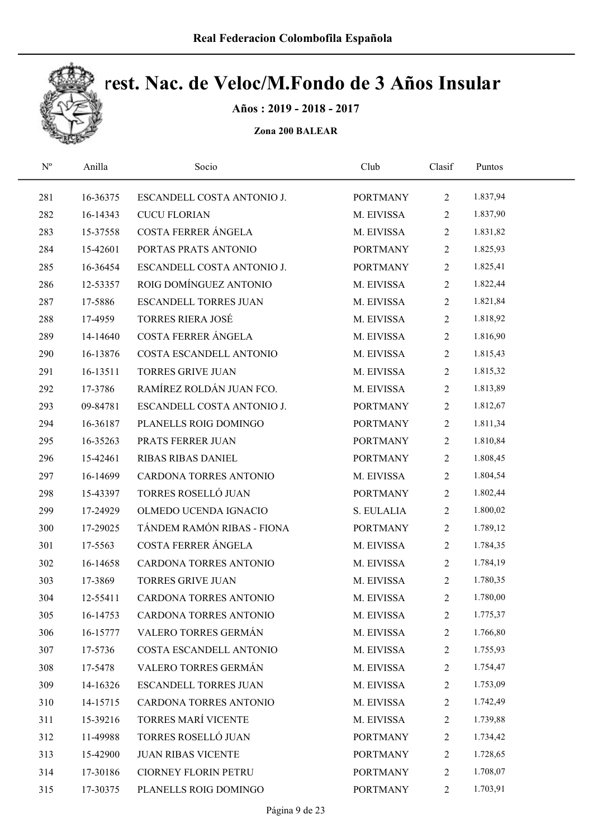

Años : 2019 - 2018 - 2017

| ESCANDELL COSTA ANTONIO J.<br>281<br>16-36375   | <b>PORTMANY</b><br>M. EIVISSA | $\overline{2}$ | 1.837,94 |  |
|-------------------------------------------------|-------------------------------|----------------|----------|--|
|                                                 |                               |                |          |  |
| 282<br><b>CUCU FLORIAN</b><br>16-14343          |                               | $\overline{2}$ | 1.837,90 |  |
| COSTA FERRER ÁNGELA<br>283<br>15-37558          | M. EIVISSA                    | $\overline{2}$ | 1.831,82 |  |
| 284<br>PORTAS PRATS ANTONIO<br>15-42601         | <b>PORTMANY</b>               | $\overline{2}$ | 1.825,93 |  |
| 285<br>ESCANDELL COSTA ANTONIO J.<br>16-36454   | <b>PORTMANY</b>               | $\overline{2}$ | 1.825,41 |  |
| ROIG DOMÍNGUEZ ANTONIO<br>286<br>12-53357       | M. EIVISSA                    | $\overline{2}$ | 1.822,44 |  |
| 287<br><b>ESCANDELL TORRES JUAN</b><br>17-5886  | M. EIVISSA                    | $\overline{2}$ | 1.821,84 |  |
| <b>TORRES RIERA JOSÉ</b><br>288<br>17-4959      | M. EIVISSA                    | $\overline{2}$ | 1.818,92 |  |
| COSTA FERRER ÁNGELA<br>289<br>14-14640          | M. EIVISSA                    | $\overline{2}$ | 1.816,90 |  |
| COSTA ESCANDELL ANTONIO<br>290<br>16-13876      | M. EIVISSA                    | $\overline{2}$ | 1.815,43 |  |
| <b>TORRES GRIVE JUAN</b><br>291<br>16-13511     | M. EIVISSA                    | $\overline{2}$ | 1.815,32 |  |
| RAMÍREZ ROLDÁN JUAN FCO.<br>292<br>17-3786      | M. EIVISSA                    | $\overline{2}$ | 1.813,89 |  |
| 293<br>09-84781<br>ESCANDELL COSTA ANTONIO J.   | <b>PORTMANY</b>               | $\overline{2}$ | 1.812,67 |  |
| PLANELLS ROIG DOMINGO<br>294<br>16-36187        | <b>PORTMANY</b>               | $\overline{2}$ | 1.811,34 |  |
| 295<br>16-35263<br>PRATS FERRER JUAN            | <b>PORTMANY</b>               | $\overline{2}$ | 1.810,84 |  |
| 296<br>15-42461<br>RIBAS RIBAS DANIEL           | <b>PORTMANY</b>               | $\overline{2}$ | 1.808,45 |  |
| 16-14699<br>CARDONA TORRES ANTONIO<br>297       | M. EIVISSA                    | $\overline{2}$ | 1.804,54 |  |
| TORRES ROSELLÓ JUAN<br>298<br>15-43397          | <b>PORTMANY</b>               | $\overline{2}$ | 1.802,44 |  |
| OLMEDO UCENDA IGNACIO<br>299<br>17-24929        | S. EULALIA                    | $\mathbf{2}$   | 1.800,02 |  |
| TÁNDEM RAMÓN RIBAS - FIONA<br>300<br>17-29025   | <b>PORTMANY</b>               | $\overline{2}$ | 1.789,12 |  |
| COSTA FERRER ÁNGELA<br>301<br>17-5563           | M. EIVISSA                    | $\overline{2}$ | 1.784,35 |  |
| 302<br>CARDONA TORRES ANTONIO<br>16-14658       | M. EIVISSA                    | $\overline{2}$ | 1.784,19 |  |
| 303<br>17-3869<br><b>TORRES GRIVE JUAN</b>      | M. EIVISSA                    | $\overline{2}$ | 1.780,35 |  |
| 304<br>12-55411<br>CARDONA TORRES ANTONIO       | M. EIVISSA                    | $\mathbf{2}$   | 1.780,00 |  |
| 305<br>16-14753<br>CARDONA TORRES ANTONIO       | M. EIVISSA                    | $\overline{c}$ | 1.775,37 |  |
| VALERO TORRES GERMÁN<br>306<br>16-15777         | M. EIVISSA                    | 2              | 1.766,80 |  |
| COSTA ESCANDELL ANTONIO<br>307<br>17-5736       | M. EIVISSA                    | $\overline{c}$ | 1.755,93 |  |
| VALERO TORRES GERMÁN<br>308<br>17-5478          | M. EIVISSA                    | 2              | 1.754,47 |  |
| 309<br>14-16326<br><b>ESCANDELL TORRES JUAN</b> | M. EIVISSA                    | 2              | 1.753,09 |  |
| 310<br>CARDONA TORRES ANTONIO<br>14-15715       | M. EIVISSA                    | 2              | 1.742,49 |  |
| <b>TORRES MARÍ VICENTE</b><br>311<br>15-39216   | M. EIVISSA                    | $\overline{c}$ | 1.739,88 |  |
| TORRES ROSELLÓ JUAN<br>312<br>11-49988          | <b>PORTMANY</b>               | 2              | 1.734,42 |  |
| 313<br><b>JUAN RIBAS VICENTE</b><br>15-42900    | <b>PORTMANY</b>               | $\overline{c}$ | 1.728,65 |  |
| 314<br>17-30186<br><b>CIORNEY FLORIN PETRU</b>  | <b>PORTMANY</b>               | $\overline{c}$ | 1.708,07 |  |
| 315<br>17-30375<br>PLANELLS ROIG DOMINGO        | <b>PORTMANY</b>               | $\overline{c}$ | 1.703,91 |  |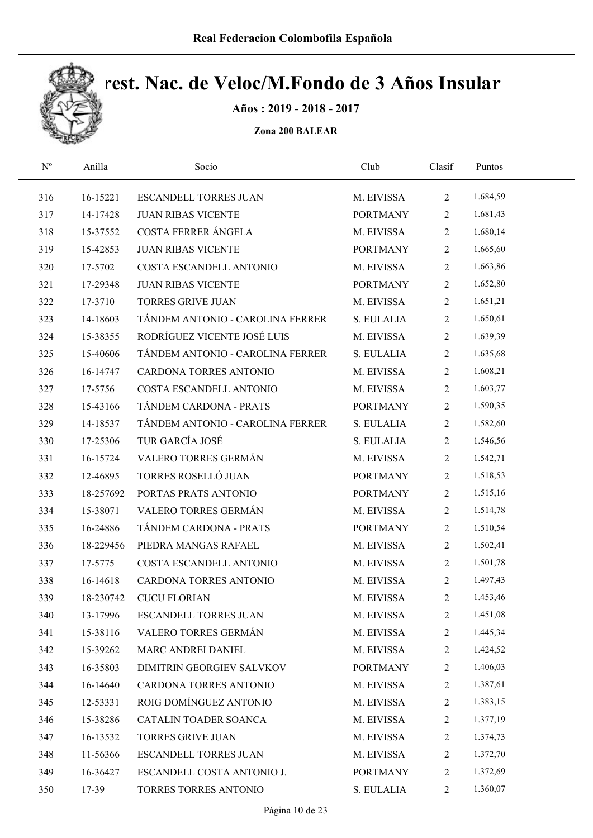

Años : 2019 - 2018 - 2017

| $\mathrm{N}^{\rm o}$ | Anilla    | Socio                            | Club            | Clasif         | Puntos   |  |
|----------------------|-----------|----------------------------------|-----------------|----------------|----------|--|
| 316                  | 16-15221  | <b>ESCANDELL TORRES JUAN</b>     | M. EIVISSA      | $\overline{2}$ | 1.684,59 |  |
| 317                  | 14-17428  | <b>JUAN RIBAS VICENTE</b>        | <b>PORTMANY</b> | $\overline{2}$ | 1.681,43 |  |
| 318                  | 15-37552  | COSTA FERRER ÁNGELA              | M. EIVISSA      | $\overline{2}$ | 1.680,14 |  |
| 319                  | 15-42853  | <b>JUAN RIBAS VICENTE</b>        | <b>PORTMANY</b> | $\overline{2}$ | 1.665,60 |  |
| 320                  | 17-5702   | COSTA ESCANDELL ANTONIO          | M. EIVISSA      | $\overline{2}$ | 1.663,86 |  |
| 321                  | 17-29348  | <b>JUAN RIBAS VICENTE</b>        | <b>PORTMANY</b> | $\overline{2}$ | 1.652,80 |  |
| 322                  | 17-3710   | <b>TORRES GRIVE JUAN</b>         | M. EIVISSA      | $\mathbf{2}$   | 1.651,21 |  |
| 323                  | 14-18603  | TÁNDEM ANTONIO - CAROLINA FERRER | S. EULALIA      | $\overline{2}$ | 1.650,61 |  |
| 324                  | 15-38355  | RODRÍGUEZ VICENTE JOSÉ LUIS      | M. EIVISSA      | $\overline{2}$ | 1.639,39 |  |
| 325                  | 15-40606  | TÁNDEM ANTONIO - CAROLINA FERRER | S. EULALIA      | $\mathbf{2}$   | 1.635,68 |  |
| 326                  | 16-14747  | CARDONA TORRES ANTONIO           | M. EIVISSA      | $\overline{2}$ | 1.608,21 |  |
| 327                  | 17-5756   | COSTA ESCANDELL ANTONIO          | M. EIVISSA      | $\mathbf{2}$   | 1.603,77 |  |
| 328                  | 15-43166  | TÁNDEM CARDONA - PRATS           | <b>PORTMANY</b> | $\overline{2}$ | 1.590,35 |  |
| 329                  | 14-18537  | TÁNDEM ANTONIO - CAROLINA FERRER | S. EULALIA      | $\mathbf{2}$   | 1.582,60 |  |
| 330                  | 17-25306  | TUR GARCÍA JOSÉ                  | S. EULALIA      | $\overline{2}$ | 1.546,56 |  |
| 331                  | 16-15724  | VALERO TORRES GERMÁN             | M. EIVISSA      | $\mathbf{2}$   | 1.542,71 |  |
| 332                  | 12-46895  | TORRES ROSELLÓ JUAN              | <b>PORTMANY</b> | $\overline{2}$ | 1.518,53 |  |
| 333                  | 18-257692 | PORTAS PRATS ANTONIO             | <b>PORTMANY</b> | $\overline{2}$ | 1.515,16 |  |
| 334                  | 15-38071  | VALERO TORRES GERMÁN             | M. EIVISSA      | $\mathbf{2}$   | 1.514,78 |  |
| 335                  | 16-24886  | TÁNDEM CARDONA - PRATS           | <b>PORTMANY</b> | $\overline{2}$ | 1.510,54 |  |
| 336                  | 18-229456 | PIEDRA MANGAS RAFAEL             | M. EIVISSA      | $\mathbf{2}$   | 1.502,41 |  |
| 337                  | 17-5775   | COSTA ESCANDELL ANTONIO          | M. EIVISSA      | $\overline{2}$ | 1.501,78 |  |
| 338                  | 16-14618  | CARDONA TORRES ANTONIO           | M. EIVISSA      | $\overline{2}$ | 1.497,43 |  |
| 339                  | 18-230742 | <b>CUCU FLORIAN</b>              | M. EIVISSA      | $\mathbf{2}$   | 1.453,46 |  |
| 340                  | 13-17996  | <b>ESCANDELL TORRES JUAN</b>     | M. EIVISSA      | $\overline{c}$ | 1.451,08 |  |
| 341                  | 15-38116  | VALERO TORRES GERMÁN             | M. EIVISSA      | $\overline{c}$ | 1.445,34 |  |
| 342                  | 15-39262  | MARC ANDREI DANIEL               | M. EIVISSA      | 2              | 1.424,52 |  |
| 343                  | 16-35803  | DIMITRIN GEORGIEV SALVKOV        | <b>PORTMANY</b> | $\overline{c}$ | 1.406,03 |  |
| 344                  | 16-14640  | CARDONA TORRES ANTONIO           | M. EIVISSA      | 2              | 1.387,61 |  |
| 345                  | 12-53331  | ROIG DOMÍNGUEZ ANTONIO           | M. EIVISSA      | 2              | 1.383,15 |  |
| 346                  | 15-38286  | CATALIN TOADER SOANCA            | M. EIVISSA      | $\overline{c}$ | 1.377,19 |  |
| 347                  | 16-13532  | <b>TORRES GRIVE JUAN</b>         | M. EIVISSA      | $\overline{c}$ | 1.374,73 |  |
| 348                  | 11-56366  | <b>ESCANDELL TORRES JUAN</b>     | M. EIVISSA      | 2              | 1.372,70 |  |
| 349                  | 16-36427  | ESCANDELL COSTA ANTONIO J.       | <b>PORTMANY</b> | 2              | 1.372,69 |  |
| 350                  | 17-39     | TORRES TORRES ANTONIO            | S. EULALIA      | $\overline{2}$ | 1.360,07 |  |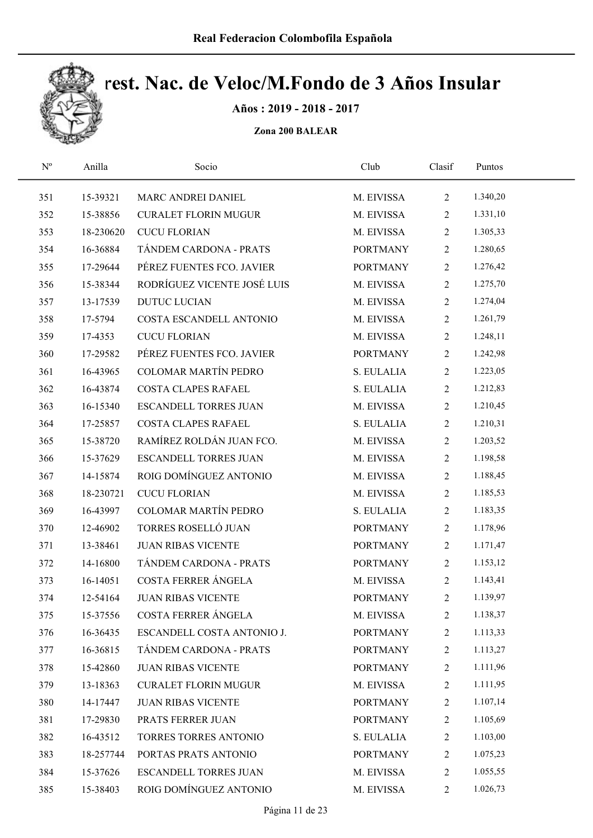

Años : 2019 - 2018 - 2017

| $\mathbf{N}^{\text{o}}$ | Anilla    | Socio                        | Club            | Clasif         | Puntos   |  |
|-------------------------|-----------|------------------------------|-----------------|----------------|----------|--|
| 351                     | 15-39321  | MARC ANDREI DANIEL           | M. EIVISSA      | $\overline{2}$ | 1.340,20 |  |
| 352                     | 15-38856  | <b>CURALET FLORIN MUGUR</b>  | M. EIVISSA      | $\overline{2}$ | 1.331,10 |  |
| 353                     | 18-230620 | <b>CUCU FLORIAN</b>          | M. EIVISSA      | $\overline{2}$ | 1.305,33 |  |
| 354                     | 16-36884  | TÁNDEM CARDONA - PRATS       | <b>PORTMANY</b> | $\overline{2}$ | 1.280,65 |  |
| 355                     | 17-29644  | PÉREZ FUENTES FCO. JAVIER    | <b>PORTMANY</b> | $\overline{2}$ | 1.276,42 |  |
| 356                     | 15-38344  | RODRÍGUEZ VICENTE JOSÉ LUIS  | M. EIVISSA      | $\overline{2}$ | 1.275,70 |  |
| 357                     | 13-17539  | <b>DUTUC LUCIAN</b>          | M. EIVISSA      | $\overline{2}$ | 1.274,04 |  |
| 358                     | 17-5794   | COSTA ESCANDELL ANTONIO      | M. EIVISSA      | $\overline{2}$ | 1.261,79 |  |
| 359                     | 17-4353   | <b>CUCU FLORIAN</b>          | M. EIVISSA      | $\overline{2}$ | 1.248,11 |  |
| 360                     | 17-29582  | PÉREZ FUENTES FCO. JAVIER    | <b>PORTMANY</b> | $\overline{2}$ | 1.242,98 |  |
| 361                     | 16-43965  | <b>COLOMAR MARTÍN PEDRO</b>  | S. EULALIA      | $\overline{2}$ | 1.223,05 |  |
| 362                     | 16-43874  | <b>COSTA CLAPES RAFAEL</b>   | S. EULALIA      | $\overline{2}$ | 1.212,83 |  |
| 363                     | 16-15340  | <b>ESCANDELL TORRES JUAN</b> | M. EIVISSA      | $\overline{2}$ | 1.210,45 |  |
| 364                     | 17-25857  | <b>COSTA CLAPES RAFAEL</b>   | S. EULALIA      | $\overline{2}$ | 1.210,31 |  |
| 365                     | 15-38720  | RAMÍREZ ROLDÁN JUAN FCO.     | M. EIVISSA      | $\overline{2}$ | 1.203,52 |  |
| 366                     | 15-37629  | ESCANDELL TORRES JUAN        | M. EIVISSA      | $\overline{2}$ | 1.198,58 |  |
| 367                     | 14-15874  | ROIG DOMÍNGUEZ ANTONIO       | M. EIVISSA      | $\overline{2}$ | 1.188,45 |  |
| 368                     | 18-230721 | <b>CUCU FLORIAN</b>          | M. EIVISSA      | $\overline{2}$ | 1.185,53 |  |
| 369                     | 16-43997  | COLOMAR MARTÍN PEDRO         | S. EULALIA      | $\overline{2}$ | 1.183,35 |  |
| 370                     | 12-46902  | TORRES ROSELLÓ JUAN          | <b>PORTMANY</b> | $\overline{2}$ | 1.178,96 |  |
| 371                     | 13-38461  | <b>JUAN RIBAS VICENTE</b>    | <b>PORTMANY</b> | $\overline{2}$ | 1.171,47 |  |
| 372                     | 14-16800  | TÁNDEM CARDONA - PRATS       | <b>PORTMANY</b> | $\overline{2}$ | 1.153,12 |  |
| 373                     | 16-14051  | COSTA FERRER ÁNGELA          | M. EIVISSA      | $\overline{2}$ | 1.143,41 |  |
| 374                     | 12-54164  | <b>JUAN RIBAS VICENTE</b>    | <b>PORTMANY</b> | $\overline{2}$ | 1.139,97 |  |
| 375                     | 15-37556  | COSTA FERRER ÁNGELA          | M. EIVISSA      | 2              | 1.138,37 |  |
| 376                     | 16-36435  | ESCANDELL COSTA ANTONIO J.   | <b>PORTMANY</b> | 2              | 1.113,33 |  |
| 377                     | 16-36815  | TÁNDEM CARDONA - PRATS       | <b>PORTMANY</b> | 2              | 1.113,27 |  |
| 378                     | 15-42860  | <b>JUAN RIBAS VICENTE</b>    | <b>PORTMANY</b> | $\overline{c}$ | 1.111,96 |  |
| 379                     | 13-18363  | <b>CURALET FLORIN MUGUR</b>  | M. EIVISSA      | 2              | 1.111,95 |  |
| 380                     | 14-17447  | <b>JUAN RIBAS VICENTE</b>    | <b>PORTMANY</b> | 2              | 1.107,14 |  |
| 381                     | 17-29830  | PRATS FERRER JUAN            | <b>PORTMANY</b> | $\overline{c}$ | 1.105,69 |  |
| 382                     | 16-43512  | TORRES TORRES ANTONIO        | S. EULALIA      | 2              | 1.103,00 |  |
| 383                     | 18-257744 | PORTAS PRATS ANTONIO         | <b>PORTMANY</b> | $\overline{c}$ | 1.075,23 |  |
| 384                     | 15-37626  | <b>ESCANDELL TORRES JUAN</b> | M. EIVISSA      | 2              | 1.055,55 |  |
| 385                     | 15-38403  | ROIG DOMÍNGUEZ ANTONIO       | M. EIVISSA      | $\overline{2}$ | 1.026,73 |  |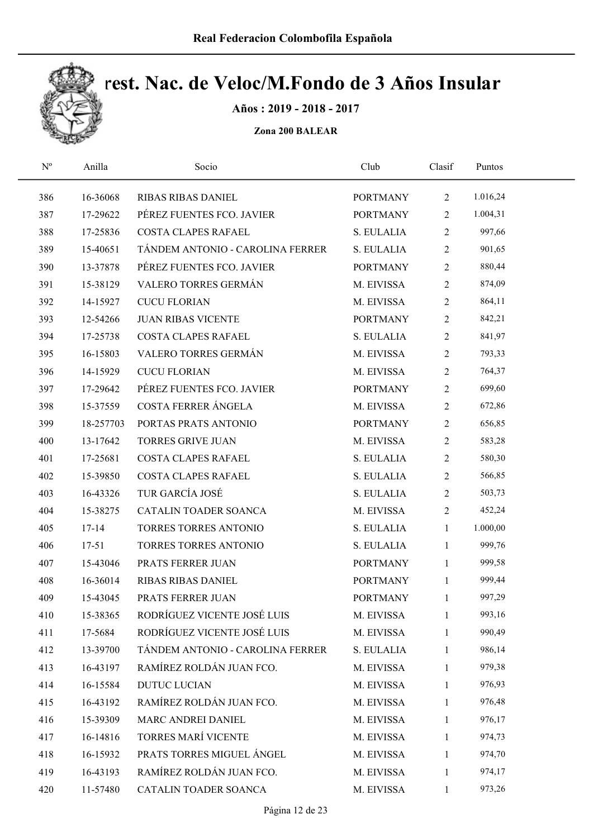

Años : 2019 - 2018 - 2017

| $\mathbf{N}^{\mathrm{o}}$ | Anilla    | Socio                            | Club            | Clasif         | Puntos   |  |
|---------------------------|-----------|----------------------------------|-----------------|----------------|----------|--|
| 386                       | 16-36068  | <b>RIBAS RIBAS DANIEL</b>        | <b>PORTMANY</b> | $\overline{2}$ | 1.016,24 |  |
| 387                       | 17-29622  | PÉREZ FUENTES FCO. JAVIER        | <b>PORTMANY</b> | 2              | 1.004,31 |  |
| 388                       | 17-25836  | COSTA CLAPES RAFAEL              | S. EULALIA      | $\overline{2}$ | 997,66   |  |
| 389                       | 15-40651  | TÁNDEM ANTONIO - CAROLINA FERRER | S. EULALIA      | 2              | 901,65   |  |
| 390                       | 13-37878  | PÉREZ FUENTES FCO. JAVIER        | <b>PORTMANY</b> | $\overline{2}$ | 880,44   |  |
| 391                       | 15-38129  | VALERO TORRES GERMÁN             | M. EIVISSA      | $\overline{2}$ | 874,09   |  |
| 392                       | 14-15927  | <b>CUCU FLORIAN</b>              | M. EIVISSA      | $\overline{2}$ | 864,11   |  |
| 393                       | 12-54266  | <b>JUAN RIBAS VICENTE</b>        | <b>PORTMANY</b> | $\overline{2}$ | 842,21   |  |
| 394                       | 17-25738  | COSTA CLAPES RAFAEL              | S. EULALIA      | $\overline{2}$ | 841,97   |  |
| 395                       | 16-15803  | VALERO TORRES GERMÁN             | M. EIVISSA      | $\overline{2}$ | 793,33   |  |
| 396                       | 14-15929  | <b>CUCU FLORIAN</b>              | M. EIVISSA      | $\overline{2}$ | 764,37   |  |
| 397                       | 17-29642  | PÉREZ FUENTES FCO. JAVIER        | <b>PORTMANY</b> | $\overline{2}$ | 699,60   |  |
| 398                       | 15-37559  | COSTA FERRER ÁNGELA              | M. EIVISSA      | $\overline{2}$ | 672,86   |  |
| 399                       | 18-257703 | PORTAS PRATS ANTONIO             | <b>PORTMANY</b> | $\overline{2}$ | 656,85   |  |
| 400                       | 13-17642  | <b>TORRES GRIVE JUAN</b>         | M. EIVISSA      | $\overline{2}$ | 583,28   |  |
| 401                       | 17-25681  | COSTA CLAPES RAFAEL              | S. EULALIA      | 2              | 580,30   |  |
| 402                       | 15-39850  | COSTA CLAPES RAFAEL              | S. EULALIA      | $\overline{2}$ | 566,85   |  |
| 403                       | 16-43326  | TUR GARCÍA JOSÉ                  | S. EULALIA      | $\overline{2}$ | 503,73   |  |
| 404                       | 15-38275  | CATALIN TOADER SOANCA            | M. EIVISSA      | $\overline{2}$ | 452,24   |  |
| 405                       | $17 - 14$ | TORRES TORRES ANTONIO            | S. EULALIA      | $\mathbf{1}$   | 1.000,00 |  |
| 406                       | $17 - 51$ | TORRES TORRES ANTONIO            | S. EULALIA      | $\mathbf{1}$   | 999,76   |  |
| 407                       | 15-43046  | PRATS FERRER JUAN                | <b>PORTMANY</b> | $\mathbf{1}$   | 999,58   |  |
| 408                       | 16-36014  | RIBAS RIBAS DANIEL               | <b>PORTMANY</b> | $\mathbf{1}$   | 999,44   |  |
| 409                       | 15-43045  | PRATS FERRER JUAN                | <b>PORTMANY</b> | 1              | 997,29   |  |
| 410                       | 15-38365  | RODRÍGUEZ VICENTE JOSÉ LUIS      | M. EIVISSA      | 1              | 993,16   |  |
| 411                       | 17-5684   | RODRÍGUEZ VICENTE JOSÉ LUIS      | M. EIVISSA      | 1              | 990,49   |  |
| 412                       | 13-39700  | TÁNDEM ANTONIO - CAROLINA FERRER | S. EULALIA      | 1              | 986,14   |  |
| 413                       | 16-43197  | RAMÍREZ ROLDÁN JUAN FCO.         | M. EIVISSA      | 1              | 979,38   |  |
| 414                       | 16-15584  | <b>DUTUC LUCIAN</b>              | M. EIVISSA      | 1              | 976,93   |  |
| 415                       | 16-43192  | RAMÍREZ ROLDÁN JUAN FCO.         | M. EIVISSA      | 1              | 976,48   |  |
| 416                       | 15-39309  | MARC ANDREI DANIEL               | M. EIVISSA      | 1              | 976,17   |  |
| 417                       | 16-14816  | TORRES MARÍ VICENTE              | M. EIVISSA      | 1              | 974,73   |  |
| 418                       | 16-15932  | PRATS TORRES MIGUEL ÁNGEL        | M. EIVISSA      | 1              | 974,70   |  |
| 419                       | 16-43193  | RAMÍREZ ROLDÁN JUAN FCO.         | M. EIVISSA      | 1              | 974,17   |  |
| 420                       | 11-57480  | CATALIN TOADER SOANCA            | M. EIVISSA      | $\mathbf{1}$   | 973,26   |  |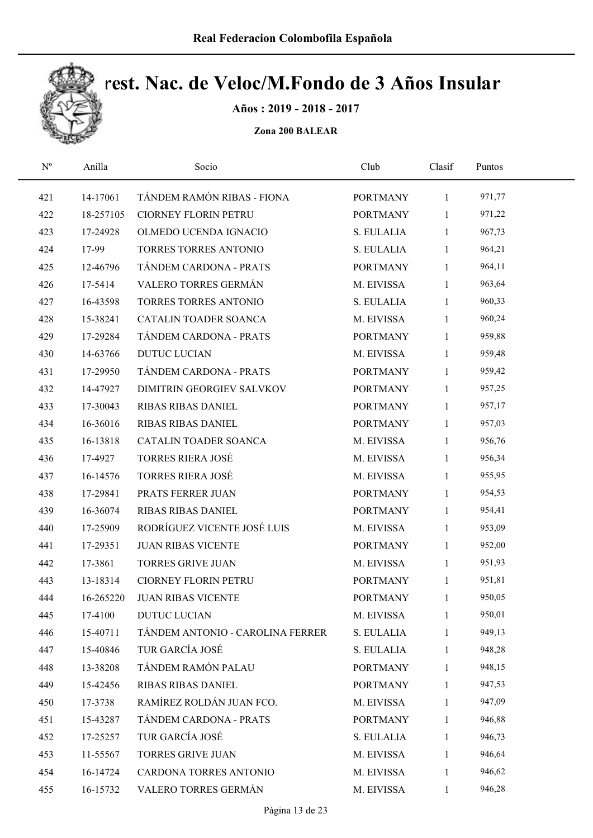

Años : 2019 - 2018 - 2017

| $\mathbf{N}^{\text{o}}$ | Anilla    | Socio                            | Club            | Clasif       | Puntos |  |
|-------------------------|-----------|----------------------------------|-----------------|--------------|--------|--|
| 421                     | 14-17061  | TÁNDEM RAMÓN RIBAS - FIONA       | <b>PORTMANY</b> | $\mathbf{1}$ | 971,77 |  |
| 422                     | 18-257105 | CIORNEY FLORIN PETRU             | <b>PORTMANY</b> | $\mathbf{1}$ | 971,22 |  |
| 423                     | 17-24928  | OLMEDO UCENDA IGNACIO            | S. EULALIA      | $\mathbf{1}$ | 967,73 |  |
| 424                     | 17-99     | TORRES TORRES ANTONIO            | S. EULALIA      | $\mathbf{1}$ | 964,21 |  |
| 425                     | 12-46796  | TÁNDEM CARDONA - PRATS           | <b>PORTMANY</b> | $\mathbf{1}$ | 964,11 |  |
| 426                     | 17-5414   | VALERO TORRES GERMÁN             | M. EIVISSA      | $\mathbf{1}$ | 963,64 |  |
| 427                     | 16-43598  | TORRES TORRES ANTONIO            | S. EULALIA      | $\mathbf{1}$ | 960,33 |  |
| 428                     | 15-38241  | CATALIN TOADER SOANCA            | M. EIVISSA      | $\mathbf{1}$ | 960,24 |  |
| 429                     | 17-29284  | TÁNDEM CARDONA - PRATS           | <b>PORTMANY</b> | $\mathbf{1}$ | 959,88 |  |
| 430                     | 14-63766  | <b>DUTUC LUCIAN</b>              | M. EIVISSA      | $\mathbf{1}$ | 959,48 |  |
| 431                     | 17-29950  | TÁNDEM CARDONA - PRATS           | <b>PORTMANY</b> | $\mathbf{1}$ | 959,42 |  |
| 432                     | 14-47927  | DIMITRIN GEORGIEV SALVKOV        | <b>PORTMANY</b> | $\mathbf{1}$ | 957,25 |  |
| 433                     | 17-30043  | RIBAS RIBAS DANIEL               | <b>PORTMANY</b> | $\mathbf{1}$ | 957,17 |  |
| 434                     | 16-36016  | RIBAS RIBAS DANIEL               | <b>PORTMANY</b> | $\mathbf{1}$ | 957,03 |  |
| 435                     | 16-13818  | CATALIN TOADER SOANCA            | M. EIVISSA      | $\mathbf{1}$ | 956,76 |  |
| 436                     | 17-4927   | <b>TORRES RIERA JOSÉ</b>         | M. EIVISSA      | $\mathbf{1}$ | 956,34 |  |
| 437                     | 16-14576  | <b>TORRES RIERA JOSÉ</b>         | M. EIVISSA      | $\mathbf{1}$ | 955,95 |  |
| 438                     | 17-29841  | PRATS FERRER JUAN                | <b>PORTMANY</b> | $\mathbf{1}$ | 954,53 |  |
| 439                     | 16-36074  | <b>RIBAS RIBAS DANIEL</b>        | <b>PORTMANY</b> | $\mathbf{1}$ | 954,41 |  |
| 440                     | 17-25909  | RODRÍGUEZ VICENTE JOSÉ LUIS      | M. EIVISSA      | $\mathbf{1}$ | 953,09 |  |
| 441                     | 17-29351  | <b>JUAN RIBAS VICENTE</b>        | <b>PORTMANY</b> | $\mathbf{1}$ | 952,00 |  |
| 442                     | 17-3861   | <b>TORRES GRIVE JUAN</b>         | M. EIVISSA      | $\mathbf{1}$ | 951,93 |  |
| 443                     | 13-18314  | CIORNEY FLORIN PETRU             | <b>PORTMANY</b> | $\mathbf{1}$ | 951,81 |  |
| 444                     | 16-265220 | <b>JUAN RIBAS VICENTE</b>        | <b>PORTMANY</b> | $\mathbf{1}$ | 950,05 |  |
| 445                     | 17-4100   | <b>DUTUC LUCIAN</b>              | M. EIVISSA      | 1            | 950,01 |  |
| 446                     | 15-40711  | TÁNDEM ANTONIO - CAROLINA FERRER | S. EULALIA      | $\mathbf{1}$ | 949,13 |  |
| 447                     | 15-40846  | TUR GARCÍA JOSÉ                  | S. EULALIA      | 1            | 948,28 |  |
| 448                     | 13-38208  | TÁNDEM RAMÓN PALAU               | <b>PORTMANY</b> | 1            | 948,15 |  |
| 449                     | 15-42456  | <b>RIBAS RIBAS DANIEL</b>        | <b>PORTMANY</b> | 1            | 947,53 |  |
| 450                     | 17-3738   | RAMÍREZ ROLDÁN JUAN FCO.         | M. EIVISSA      | 1            | 947,09 |  |
| 451                     | 15-43287  | TÁNDEM CARDONA - PRATS           | <b>PORTMANY</b> | $\mathbf{1}$ | 946,88 |  |
| 452                     | 17-25257  | TUR GARCÍA JOSÉ                  | S. EULALIA      | 1            | 946,73 |  |
| 453                     | 11-55567  | <b>TORRES GRIVE JUAN</b>         | M. EIVISSA      | $\mathbf{1}$ | 946,64 |  |
| 454                     | 16-14724  | CARDONA TORRES ANTONIO           | M. EIVISSA      | 1            | 946,62 |  |
| 455                     | 16-15732  | VALERO TORRES GERMÁN             | M. EIVISSA      | $\mathbf{1}$ | 946,28 |  |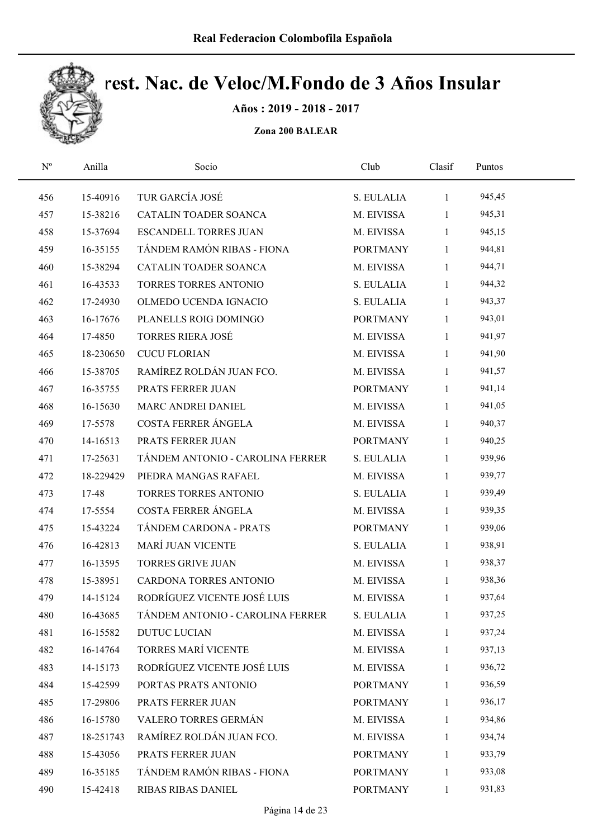

Años : 2019 - 2018 - 2017

| $\mathbf{N}^{\mathrm{o}}$ | Anilla    | Socio                            | Club            | Clasif       | Puntos |  |
|---------------------------|-----------|----------------------------------|-----------------|--------------|--------|--|
| 456                       | 15-40916  | TUR GARCÍA JOSÉ                  | S. EULALIA      | $\mathbf{1}$ | 945,45 |  |
| 457                       | 15-38216  | CATALIN TOADER SOANCA            | M. EIVISSA      | $\mathbf{1}$ | 945,31 |  |
| 458                       | 15-37694  | <b>ESCANDELL TORRES JUAN</b>     | M. EIVISSA      | 1            | 945,15 |  |
| 459                       | 16-35155  | TÁNDEM RAMÓN RIBAS - FIONA       | <b>PORTMANY</b> | $\mathbf{1}$ | 944,81 |  |
| 460                       | 15-38294  | CATALIN TOADER SOANCA            | M. EIVISSA      | $\mathbf{1}$ | 944,71 |  |
| 461                       | 16-43533  | TORRES TORRES ANTONIO            | S. EULALIA      | $\mathbf{1}$ | 944,32 |  |
| 462                       | 17-24930  | OLMEDO UCENDA IGNACIO            | S. EULALIA      | $\mathbf{1}$ | 943,37 |  |
| 463                       | 16-17676  | PLANELLS ROIG DOMINGO            | <b>PORTMANY</b> | $\mathbf{1}$ | 943,01 |  |
| 464                       | 17-4850   | <b>TORRES RIERA JOSÉ</b>         | M. EIVISSA      | $\mathbf{1}$ | 941,97 |  |
| 465                       | 18-230650 | <b>CUCU FLORIAN</b>              | M. EIVISSA      | $\mathbf{1}$ | 941,90 |  |
| 466                       | 15-38705  | RAMÍREZ ROLDÁN JUAN FCO.         | M. EIVISSA      | $\mathbf{1}$ | 941,57 |  |
| 467                       | 16-35755  | PRATS FERRER JUAN                | <b>PORTMANY</b> | $\mathbf{1}$ | 941,14 |  |
| 468                       | 16-15630  | MARC ANDREI DANIEL               | M. EIVISSA      | 1            | 941,05 |  |
| 469                       | 17-5578   | COSTA FERRER ÁNGELA              | M. EIVISSA      | $\mathbf{1}$ | 940,37 |  |
| 470                       | 14-16513  | PRATS FERRER JUAN                | <b>PORTMANY</b> | $\mathbf{1}$ | 940,25 |  |
| 471                       | 17-25631  | TÁNDEM ANTONIO - CAROLINA FERRER | S. EULALIA      | $\mathbf{1}$ | 939,96 |  |
| 472                       | 18-229429 | PIEDRA MANGAS RAFAEL             | M. EIVISSA      | 1            | 939,77 |  |
| 473                       | 17-48     | TORRES TORRES ANTONIO            | S. EULALIA      | $\mathbf{1}$ | 939,49 |  |
| 474                       | 17-5554   | COSTA FERRER ÁNGELA              | M. EIVISSA      | $\mathbf{1}$ | 939,35 |  |
| 475                       | 15-43224  | TÁNDEM CARDONA - PRATS           | <b>PORTMANY</b> | $\mathbf{1}$ | 939,06 |  |
| 476                       | 16-42813  | MARÍ JUAN VICENTE                | S. EULALIA      | $\mathbf{1}$ | 938,91 |  |
| 477                       | 16-13595  | <b>TORRES GRIVE JUAN</b>         | M. EIVISSA      | $\mathbf{1}$ | 938,37 |  |
| 478                       | 15-38951  | CARDONA TORRES ANTONIO           | M. EIVISSA      | $\mathbf{1}$ | 938,36 |  |
| 479                       | 14-15124  | RODRÍGUEZ VICENTE JOSÉ LUIS      | M. EIVISSA      | $\mathbf{1}$ | 937,64 |  |
| 480                       | 16-43685  | TÁNDEM ANTONIO - CAROLINA FERRER | S. EULALIA      | 1            | 937,25 |  |
| 481                       | 16-15582  | <b>DUTUC LUCIAN</b>              | M. EIVISSA      | 1            | 937,24 |  |
| 482                       | 16-14764  | TORRES MARÍ VICENTE              | M. EIVISSA      | 1            | 937,13 |  |
| 483                       | 14-15173  | RODRÍGUEZ VICENTE JOSÉ LUIS      | M. EIVISSA      | 1            | 936,72 |  |
| 484                       | 15-42599  | PORTAS PRATS ANTONIO             | <b>PORTMANY</b> | $\mathbf{1}$ | 936,59 |  |
| 485                       | 17-29806  | PRATS FERRER JUAN                | <b>PORTMANY</b> | $\mathbf{1}$ | 936,17 |  |
| 486                       | 16-15780  | VALERO TORRES GERMÁN             | M. EIVISSA      | 1            | 934,86 |  |
| 487                       | 18-251743 | RAMÍREZ ROLDÁN JUAN FCO.         | M. EIVISSA      | 1            | 934,74 |  |
| 488                       | 15-43056  | PRATS FERRER JUAN                | <b>PORTMANY</b> | 1            | 933,79 |  |
| 489                       | 16-35185  | TÁNDEM RAMÓN RIBAS - FIONA       | <b>PORTMANY</b> | 1            | 933,08 |  |
| 490                       | 15-42418  | RIBAS RIBAS DANIEL               | <b>PORTMANY</b> | $\mathbf{1}$ | 931,83 |  |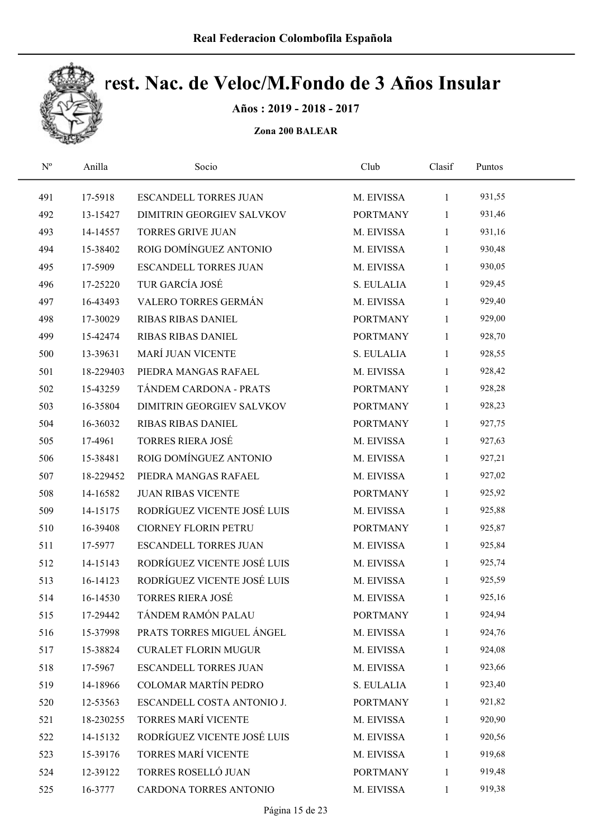

Años : 2019 - 2018 - 2017

| $\mathbf{N}^{\mathrm{o}}$ | Anilla    | Socio                        | Club            | Clasif       | Puntos |  |
|---------------------------|-----------|------------------------------|-----------------|--------------|--------|--|
| 491                       | 17-5918   | <b>ESCANDELL TORRES JUAN</b> | M. EIVISSA      | $\mathbf{1}$ | 931,55 |  |
| 492                       | 13-15427  | DIMITRIN GEORGIEV SALVKOV    | <b>PORTMANY</b> | $\mathbf{1}$ | 931,46 |  |
| 493                       | 14-14557  | <b>TORRES GRIVE JUAN</b>     | M. EIVISSA      | $\mathbf{1}$ | 931,16 |  |
| 494                       | 15-38402  | ROIG DOMÍNGUEZ ANTONIO       | M. EIVISSA      | 1            | 930,48 |  |
| 495                       | 17-5909   | <b>ESCANDELL TORRES JUAN</b> | M. EIVISSA      | 1            | 930,05 |  |
| 496                       | 17-25220  | TUR GARCÍA JOSÉ              | S. EULALIA      | 1            | 929,45 |  |
| 497                       | 16-43493  | VALERO TORRES GERMÁN         | M. EIVISSA      | 1            | 929,40 |  |
| 498                       | 17-30029  | <b>RIBAS RIBAS DANIEL</b>    | <b>PORTMANY</b> | $\mathbf{1}$ | 929,00 |  |
| 499                       | 15-42474  | RIBAS RIBAS DANIEL           | <b>PORTMANY</b> | 1            | 928,70 |  |
| 500                       | 13-39631  | <b>MARÍ JUAN VICENTE</b>     | S. EULALIA      | $\mathbf{1}$ | 928,55 |  |
| 501                       | 18-229403 | PIEDRA MANGAS RAFAEL         | M. EIVISSA      | 1            | 928,42 |  |
| 502                       | 15-43259  | TÁNDEM CARDONA - PRATS       | <b>PORTMANY</b> | $\mathbf{1}$ | 928,28 |  |
| 503                       | 16-35804  | DIMITRIN GEORGIEV SALVKOV    | <b>PORTMANY</b> | 1            | 928,23 |  |
| 504                       | 16-36032  | RIBAS RIBAS DANIEL           | <b>PORTMANY</b> | $\mathbf{1}$ | 927,75 |  |
| 505                       | 17-4961   | <b>TORRES RIERA JOSÉ</b>     | M. EIVISSA      | 1            | 927,63 |  |
| 506                       | 15-38481  | ROIG DOMÍNGUEZ ANTONIO       | M. EIVISSA      | 1            | 927,21 |  |
| 507                       | 18-229452 | PIEDRA MANGAS RAFAEL         | M. EIVISSA      | 1            | 927,02 |  |
| 508                       | 14-16582  | <b>JUAN RIBAS VICENTE</b>    | <b>PORTMANY</b> | $\mathbf{1}$ | 925,92 |  |
| 509                       | 14-15175  | RODRÍGUEZ VICENTE JOSÉ LUIS  | M. EIVISSA      | 1            | 925,88 |  |
| 510                       | 16-39408  | <b>CIORNEY FLORIN PETRU</b>  | <b>PORTMANY</b> | 1            | 925,87 |  |
| 511                       | 17-5977   | <b>ESCANDELL TORRES JUAN</b> | M. EIVISSA      | $\mathbf{1}$ | 925,84 |  |
| 512                       | 14-15143  | RODRÍGUEZ VICENTE JOSÉ LUIS  | M. EIVISSA      | $\mathbf{1}$ | 925,74 |  |
| 513                       | 16-14123  | RODRÍGUEZ VICENTE JOSÉ LUIS  | M. EIVISSA      | $\mathbf{1}$ | 925,59 |  |
| 514                       | 16-14530  | <b>TORRES RIERA JOSÉ</b>     | M. EIVISSA      | $\mathbf{1}$ | 925,16 |  |
| 515                       | 17-29442  | TÁNDEM RAMÓN PALAU           | <b>PORTMANY</b> | 1            | 924,94 |  |
| 516                       | 15-37998  | PRATS TORRES MIGUEL ÁNGEL    | M. EIVISSA      | 1            | 924,76 |  |
| 517                       | 15-38824  | <b>CURALET FLORIN MUGUR</b>  | M. EIVISSA      | $\mathbf{1}$ | 924,08 |  |
| 518                       | 17-5967   | ESCANDELL TORRES JUAN        | M. EIVISSA      | 1            | 923,66 |  |
| 519                       | 14-18966  | <b>COLOMAR MARTÍN PEDRO</b>  | S. EULALIA      | 1            | 923,40 |  |
| 520                       | 12-53563  | ESCANDELL COSTA ANTONIO J.   | <b>PORTMANY</b> | $\mathbf{1}$ | 921,82 |  |
| 521                       | 18-230255 | TORRES MARÍ VICENTE          | M. EIVISSA      | 1            | 920,90 |  |
| 522                       | 14-15132  | RODRÍGUEZ VICENTE JOSÉ LUIS  | M. EIVISSA      | 1            | 920,56 |  |
| 523                       | 15-39176  | TORRES MARÍ VICENTE          | M. EIVISSA      | $\mathbf{1}$ | 919,68 |  |
| 524                       | 12-39122  | TORRES ROSELLÓ JUAN          | <b>PORTMANY</b> | 1            | 919,48 |  |
| 525                       | 16-3777   | CARDONA TORRES ANTONIO       | M. EIVISSA      | $\mathbf{1}$ | 919,38 |  |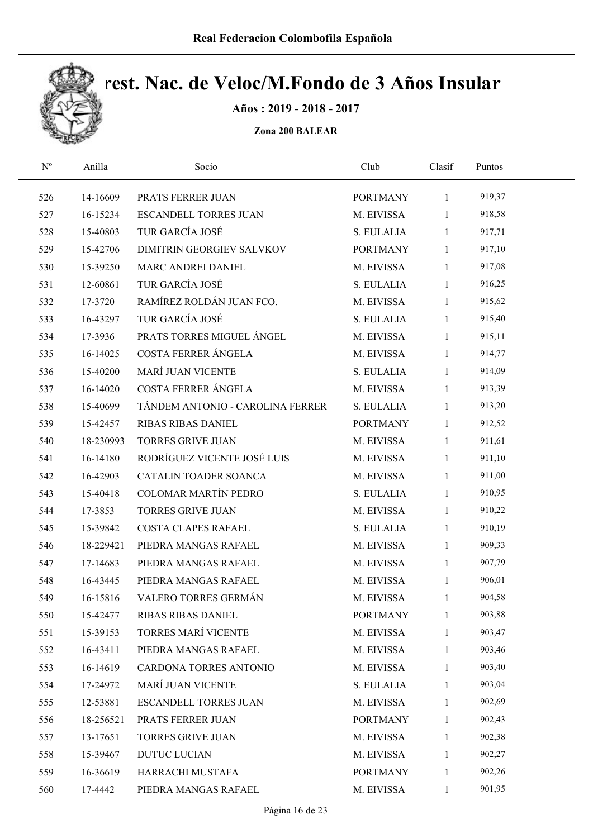

Años : 2019 - 2018 - 2017

| $\mathbf{N}^{\mathrm{o}}$ | Anilla    | Socio                            | Club            | Clasif       | Puntos |  |
|---------------------------|-----------|----------------------------------|-----------------|--------------|--------|--|
| 526                       | 14-16609  | PRATS FERRER JUAN                | <b>PORTMANY</b> | $\mathbf{1}$ | 919,37 |  |
| 527                       | 16-15234  | <b>ESCANDELL TORRES JUAN</b>     | M. EIVISSA      | $\mathbf{1}$ | 918,58 |  |
| 528                       | 15-40803  | TUR GARCÍA JOSÉ                  | S. EULALIA      | 1            | 917,71 |  |
| 529                       | 15-42706  | DIMITRIN GEORGIEV SALVKOV        | <b>PORTMANY</b> | 1            | 917,10 |  |
| 530                       | 15-39250  | MARC ANDREI DANIEL               | M. EIVISSA      | $\mathbf{1}$ | 917,08 |  |
| 531                       | 12-60861  | TUR GARCÍA JOSÉ                  | S. EULALIA      | $\mathbf{1}$ | 916,25 |  |
| 532                       | 17-3720   | RAMÍREZ ROLDÁN JUAN FCO.         | M. EIVISSA      | $\mathbf{1}$ | 915,62 |  |
| 533                       | 16-43297  | TUR GARCÍA JOSÉ                  | S. EULALIA      | $\mathbf{1}$ | 915,40 |  |
| 534                       | 17-3936   | PRATS TORRES MIGUEL ÁNGEL        | M. EIVISSA      | $\mathbf{1}$ | 915,11 |  |
| 535                       | 16-14025  | COSTA FERRER ÁNGELA              | M. EIVISSA      | $\mathbf{1}$ | 914,77 |  |
| 536                       | 15-40200  | MARÍ JUAN VICENTE                | S. EULALIA      | $\mathbf{1}$ | 914,09 |  |
| 537                       | 16-14020  | COSTA FERRER ÁNGELA              | M. EIVISSA      | $\mathbf{1}$ | 913,39 |  |
| 538                       | 15-40699  | TÁNDEM ANTONIO - CAROLINA FERRER | S. EULALIA      | 1            | 913,20 |  |
| 539                       | 15-42457  | RIBAS RIBAS DANIEL               | <b>PORTMANY</b> | $\mathbf{1}$ | 912,52 |  |
| 540                       | 18-230993 | <b>TORRES GRIVE JUAN</b>         | M. EIVISSA      | $\mathbf{1}$ | 911,61 |  |
| 541                       | 16-14180  | RODRÍGUEZ VICENTE JOSÉ LUIS      | M. EIVISSA      | 1            | 911,10 |  |
| 542                       | 16-42903  | CATALIN TOADER SOANCA            | M. EIVISSA      | 1            | 911,00 |  |
| 543                       | 15-40418  | COLOMAR MARTÍN PEDRO             | S. EULALIA      | $\mathbf{1}$ | 910,95 |  |
| 544                       | 17-3853   | <b>TORRES GRIVE JUAN</b>         | M. EIVISSA      | $\mathbf{1}$ | 910,22 |  |
| 545                       | 15-39842  | COSTA CLAPES RAFAEL              | S. EULALIA      | 1            | 910,19 |  |
| 546                       | 18-229421 | PIEDRA MANGAS RAFAEL             | M. EIVISSA      | $\mathbf{1}$ | 909,33 |  |
| 547                       | 17-14683  | PIEDRA MANGAS RAFAEL             | M. EIVISSA      | $\mathbf{1}$ | 907,79 |  |
| 548                       | 16-43445  | PIEDRA MANGAS RAFAEL             | M. EIVISSA      | $\mathbf{1}$ | 906,01 |  |
| 549                       | 16-15816  | VALERO TORRES GERMÁN             | M. EIVISSA      | $\mathbf{1}$ | 904,58 |  |
| 550                       | 15-42477  | <b>RIBAS RIBAS DANIEL</b>        | <b>PORTMANY</b> | $\mathbf{1}$ | 903,88 |  |
| 551                       | 15-39153  | <b>TORRES MARÍ VICENTE</b>       | M. EIVISSA      | $\mathbf{1}$ | 903,47 |  |
| 552                       | 16-43411  | PIEDRA MANGAS RAFAEL             | M. EIVISSA      | 1            | 903,46 |  |
| 553                       | 16-14619  | CARDONA TORRES ANTONIO           | M. EIVISSA      | 1            | 903,40 |  |
| 554                       | 17-24972  | <b>MARÍ JUAN VICENTE</b>         | S. EULALIA      | 1            | 903,04 |  |
| 555                       | 12-53881  | <b>ESCANDELL TORRES JUAN</b>     | M. EIVISSA      | 1            | 902,69 |  |
| 556                       | 18-256521 | PRATS FERRER JUAN                | <b>PORTMANY</b> | 1            | 902,43 |  |
| 557                       | 13-17651  | TORRES GRIVE JUAN                | M. EIVISSA      | 1            | 902,38 |  |
| 558                       | 15-39467  | <b>DUTUC LUCIAN</b>              | M. EIVISSA      | 1            | 902,27 |  |
| 559                       | 16-36619  | HARRACHI MUSTAFA                 | <b>PORTMANY</b> | 1            | 902,26 |  |
| 560                       | 17-4442   | PIEDRA MANGAS RAFAEL             | M. EIVISSA      | $\mathbf{1}$ | 901,95 |  |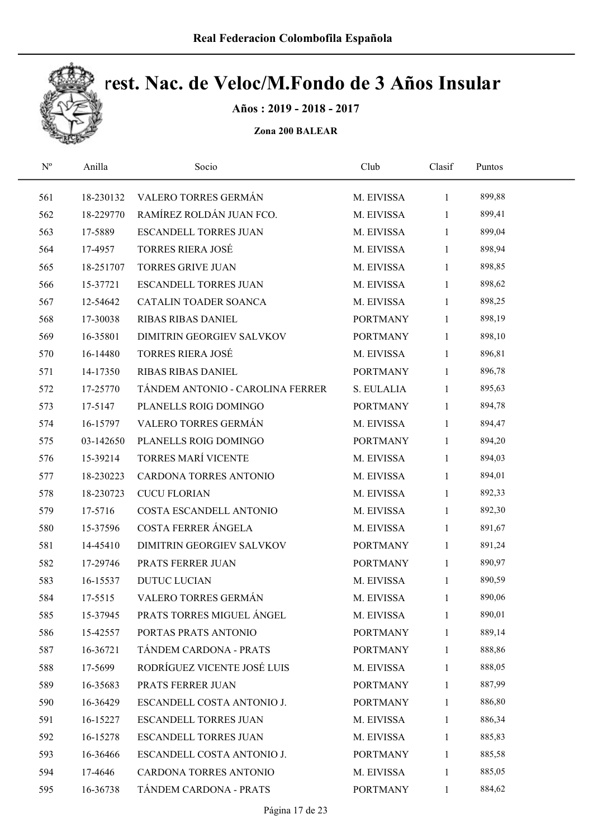

Años : 2019 - 2018 - 2017

| $\mathrm{N}^{\rm o}$ | Anilla    | Socio                            | Club            | Clasif       | Puntos |  |
|----------------------|-----------|----------------------------------|-----------------|--------------|--------|--|
| 561                  | 18-230132 | VALERO TORRES GERMÁN             | M. EIVISSA      | $\mathbf{1}$ | 899,88 |  |
| 562                  | 18-229770 | RAMÍREZ ROLDÁN JUAN FCO.         | M. EIVISSA      | $\mathbf{1}$ | 899,41 |  |
| 563                  | 17-5889   | <b>ESCANDELL TORRES JUAN</b>     | M. EIVISSA      | $\mathbf{1}$ | 899,04 |  |
| 564                  | 17-4957   | <b>TORRES RIERA JOSÉ</b>         | M. EIVISSA      | 1            | 898,94 |  |
| 565                  | 18-251707 | <b>TORRES GRIVE JUAN</b>         | M. EIVISSA      | $\mathbf{1}$ | 898,85 |  |
| 566                  | 15-37721  | <b>ESCANDELL TORRES JUAN</b>     | M. EIVISSA      | $\mathbf{1}$ | 898,62 |  |
| 567                  | 12-54642  | CATALIN TOADER SOANCA            | M. EIVISSA      | $\mathbf{1}$ | 898,25 |  |
| 568                  | 17-30038  | RIBAS RIBAS DANIEL               | <b>PORTMANY</b> | $\mathbf{1}$ | 898,19 |  |
| 569                  | 16-35801  | DIMITRIN GEORGIEV SALVKOV        | <b>PORTMANY</b> | 1            | 898,10 |  |
| 570                  | 16-14480  | <b>TORRES RIERA JOSÉ</b>         | M. EIVISSA      | $\mathbf{1}$ | 896,81 |  |
| 571                  | 14-17350  | <b>RIBAS RIBAS DANIEL</b>        | <b>PORTMANY</b> | $\mathbf{1}$ | 896,78 |  |
| 572                  | 17-25770  | TÁNDEM ANTONIO - CAROLINA FERRER | S. EULALIA      | $\mathbf{1}$ | 895,63 |  |
| 573                  | 17-5147   | PLANELLS ROIG DOMINGO            | <b>PORTMANY</b> | 1            | 894,78 |  |
| 574                  | 16-15797  | VALERO TORRES GERMÁN             | M. EIVISSA      | 1            | 894,47 |  |
| 575                  | 03-142650 | PLANELLS ROIG DOMINGO            | <b>PORTMANY</b> | 1            | 894,20 |  |
| 576                  | 15-39214  | TORRES MARÍ VICENTE              | M. EIVISSA      | $\mathbf{1}$ | 894,03 |  |
| 577                  | 18-230223 | CARDONA TORRES ANTONIO           | M. EIVISSA      | 1            | 894,01 |  |
| 578                  | 18-230723 | <b>CUCU FLORIAN</b>              | M. EIVISSA      | $\mathbf{1}$ | 892,33 |  |
| 579                  | 17-5716   | COSTA ESCANDELL ANTONIO          | M. EIVISSA      | $\mathbf{1}$ | 892,30 |  |
| 580                  | 15-37596  | COSTA FERRER ÁNGELA              | M. EIVISSA      | $\mathbf{1}$ | 891,67 |  |
| 581                  | 14-45410  | DIMITRIN GEORGIEV SALVKOV        | <b>PORTMANY</b> | $\mathbf{1}$ | 891,24 |  |
| 582                  | 17-29746  | PRATS FERRER JUAN                | <b>PORTMANY</b> | $\mathbf{1}$ | 890,97 |  |
| 583                  | 16-15537  | <b>DUTUC LUCIAN</b>              | M. EIVISSA      | $\mathbf{1}$ | 890,59 |  |
| 584                  | 17-5515   | VALERO TORRES GERMÁN             | M. EIVISSA      | $\mathbf{1}$ | 890,06 |  |
| 585                  | 15-37945  | PRATS TORRES MIGUEL ÁNGEL        | M. EIVISSA      | 1            | 890,01 |  |
| 586                  | 15-42557  | PORTAS PRATS ANTONIO             | <b>PORTMANY</b> | 1            | 889,14 |  |
| 587                  | 16-36721  | TÁNDEM CARDONA - PRATS           | <b>PORTMANY</b> | 1            | 888,86 |  |
| 588                  | 17-5699   | RODRÍGUEZ VICENTE JOSÉ LUIS      | M. EIVISSA      | 1            | 888,05 |  |
| 589                  | 16-35683  | PRATS FERRER JUAN                | <b>PORTMANY</b> | $\mathbf{1}$ | 887,99 |  |
| 590                  | 16-36429  | ESCANDELL COSTA ANTONIO J.       | <b>PORTMANY</b> | $\mathbf{1}$ | 886,80 |  |
| 591                  | 16-15227  | ESCANDELL TORRES JUAN            | M. EIVISSA      | 1            | 886,34 |  |
| 592                  | 16-15278  | ESCANDELL TORRES JUAN            | M. EIVISSA      | 1            | 885,83 |  |
| 593                  | 16-36466  | ESCANDELL COSTA ANTONIO J.       | <b>PORTMANY</b> | $\mathbf{1}$ | 885,58 |  |
| 594                  | 17-4646   | CARDONA TORRES ANTONIO           | M. EIVISSA      | 1            | 885,05 |  |
| 595                  | 16-36738  | TÁNDEM CARDONA - PRATS           | <b>PORTMANY</b> | $\mathbf{1}$ | 884,62 |  |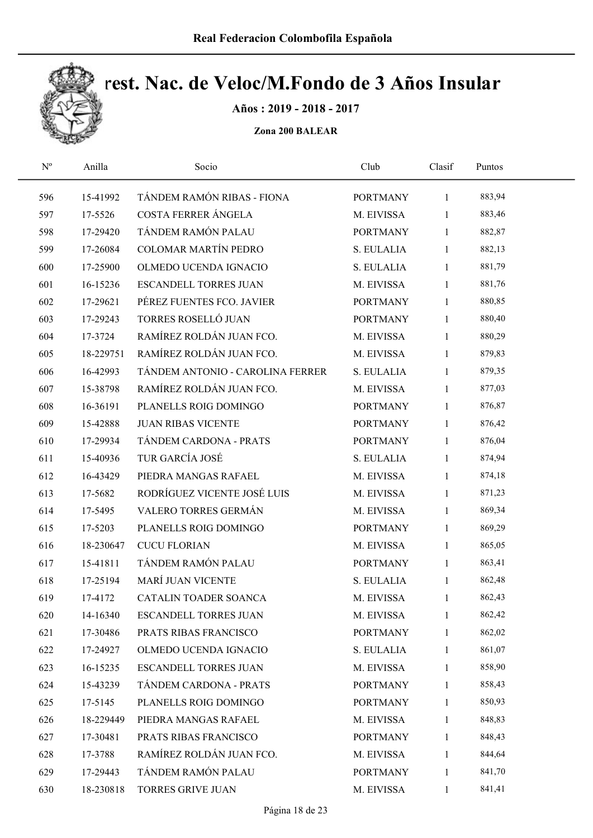

Años : 2019 - 2018 - 2017

| $\mathbf{N}^{\text{o}}$ | Anilla    | Socio                            | Club            | Clasif       | Puntos |  |
|-------------------------|-----------|----------------------------------|-----------------|--------------|--------|--|
| 596                     | 15-41992  | TÁNDEM RAMÓN RIBAS - FIONA       | <b>PORTMANY</b> | $\mathbf{1}$ | 883,94 |  |
| 597                     | 17-5526   | COSTA FERRER ÁNGELA              | M. EIVISSA      | 1            | 883,46 |  |
| 598                     | 17-29420  | TÁNDEM RAMÓN PALAU               | <b>PORTMANY</b> | $\mathbf{1}$ | 882,87 |  |
| 599                     | 17-26084  | <b>COLOMAR MARTÍN PEDRO</b>      | S. EULALIA      | 1            | 882,13 |  |
| 600                     | 17-25900  | OLMEDO UCENDA IGNACIO            | S. EULALIA      | $\mathbf{1}$ | 881,79 |  |
| 601                     | 16-15236  | <b>ESCANDELL TORRES JUAN</b>     | M. EIVISSA      | 1            | 881,76 |  |
| 602                     | 17-29621  | PÉREZ FUENTES FCO. JAVIER        | <b>PORTMANY</b> | $\mathbf{1}$ | 880,85 |  |
| 603                     | 17-29243  | TORRES ROSELLÓ JUAN              | <b>PORTMANY</b> | $\mathbf{1}$ | 880,40 |  |
| 604                     | 17-3724   | RAMÍREZ ROLDÁN JUAN FCO.         | M. EIVISSA      | 1            | 880,29 |  |
| 605                     | 18-229751 | RAMÍREZ ROLDÁN JUAN FCO.         | M. EIVISSA      | $\mathbf{1}$ | 879,83 |  |
| 606                     | 16-42993  | TÁNDEM ANTONIO - CAROLINA FERRER | S. EULALIA      | 1            | 879,35 |  |
| 607                     | 15-38798  | RAMÍREZ ROLDÁN JUAN FCO.         | M. EIVISSA      | 1            | 877,03 |  |
| 608                     | 16-36191  | PLANELLS ROIG DOMINGO            | <b>PORTMANY</b> | 1            | 876,87 |  |
| 609                     | 15-42888  | <b>JUAN RIBAS VICENTE</b>        | <b>PORTMANY</b> | $\mathbf{1}$ | 876,42 |  |
| 610                     | 17-29934  | TÁNDEM CARDONA - PRATS           | <b>PORTMANY</b> | 1            | 876,04 |  |
| 611                     | 15-40936  | TUR GARCÍA JOSÉ                  | S. EULALIA      | $\mathbf{1}$ | 874,94 |  |
| 612                     | 16-43429  | PIEDRA MANGAS RAFAEL             | M. EIVISSA      | 1            | 874,18 |  |
| 613                     | 17-5682   | RODRÍGUEZ VICENTE JOSÉ LUIS      | M. EIVISSA      | $\mathbf{1}$ | 871,23 |  |
| 614                     | 17-5495   | VALERO TORRES GERMÁN             | M. EIVISSA      | $\mathbf{1}$ | 869,34 |  |
| 615                     | 17-5203   | PLANELLS ROIG DOMINGO            | <b>PORTMANY</b> | $\mathbf{1}$ | 869,29 |  |
| 616                     | 18-230647 | <b>CUCU FLORIAN</b>              | M. EIVISSA      | $\mathbf{1}$ | 865,05 |  |
| 617                     | 15-41811  | TÁNDEM RAMÓN PALAU               | <b>PORTMANY</b> | $\mathbf{1}$ | 863,41 |  |
| 618                     | 17-25194  | MARÍ JUAN VICENTE                | S. EULALIA      | $\mathbf{1}$ | 862,48 |  |
| 619                     | 17-4172   | CATALIN TOADER SOANCA            | M. EIVISSA      | $\mathbf{1}$ | 862,43 |  |
| 620                     | 14-16340  | ESCANDELL TORRES JUAN            | M. EIVISSA      | 1            | 862,42 |  |
| 621                     | 17-30486  | PRATS RIBAS FRANCISCO            | <b>PORTMANY</b> | 1            | 862,02 |  |
| 622                     | 17-24927  | OLMEDO UCENDA IGNACIO            | S. EULALIA      | 1            | 861,07 |  |
| 623                     | 16-15235  | <b>ESCANDELL TORRES JUAN</b>     | M. EIVISSA      | 1            | 858,90 |  |
| 624                     | 15-43239  | TÁNDEM CARDONA - PRATS           | <b>PORTMANY</b> | 1            | 858,43 |  |
| 625                     | 17-5145   | PLANELLS ROIG DOMINGO            | <b>PORTMANY</b> | $\mathbf{1}$ | 850,93 |  |
| 626                     | 18-229449 | PIEDRA MANGAS RAFAEL             | M. EIVISSA      | 1            | 848,83 |  |
| 627                     | 17-30481  | PRATS RIBAS FRANCISCO            | <b>PORTMANY</b> | 1            | 848,43 |  |
| 628                     | 17-3788   | RAMÍREZ ROLDÁN JUAN FCO.         | M. EIVISSA      | 1            | 844,64 |  |
| 629                     | 17-29443  | TÁNDEM RAMÓN PALAU               | <b>PORTMANY</b> | $\mathbf{1}$ | 841,70 |  |
| 630                     | 18-230818 | TORRES GRIVE JUAN                | M. EIVISSA      | $\mathbf{1}$ | 841,41 |  |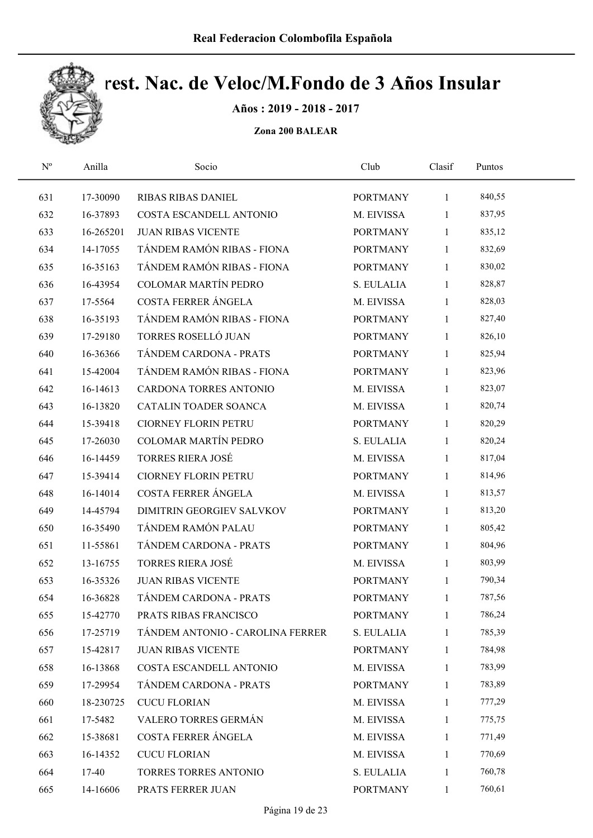

Años : 2019 - 2018 - 2017

| $\mathbf{N}^{\text{o}}$ | Anilla    | Socio                            | Club            | Clasif       | Puntos |  |
|-------------------------|-----------|----------------------------------|-----------------|--------------|--------|--|
| 631                     | 17-30090  | <b>RIBAS RIBAS DANIEL</b>        | <b>PORTMANY</b> | $\mathbf{1}$ | 840,55 |  |
| 632                     | 16-37893  | COSTA ESCANDELL ANTONIO          | M. EIVISSA      | $\mathbf{1}$ | 837,95 |  |
| 633                     | 16-265201 | <b>JUAN RIBAS VICENTE</b>        | <b>PORTMANY</b> | 1            | 835,12 |  |
| 634                     | 14-17055  | TÁNDEM RAMÓN RIBAS - FIONA       | <b>PORTMANY</b> | $\mathbf{1}$ | 832,69 |  |
| 635                     | 16-35163  | TÁNDEM RAMÓN RIBAS - FIONA       | <b>PORTMANY</b> | $\mathbf{1}$ | 830,02 |  |
| 636                     | 16-43954  | <b>COLOMAR MARTÍN PEDRO</b>      | S. EULALIA      | $\mathbf{1}$ | 828,87 |  |
| 637                     | 17-5564   | COSTA FERRER ÁNGELA              | M. EIVISSA      | $\mathbf{1}$ | 828,03 |  |
| 638                     | 16-35193  | TÁNDEM RAMÓN RIBAS - FIONA       | <b>PORTMANY</b> | $\mathbf{1}$ | 827,40 |  |
| 639                     | 17-29180  | TORRES ROSELLÓ JUAN              | <b>PORTMANY</b> | $\mathbf{1}$ | 826,10 |  |
| 640                     | 16-36366  | TÁNDEM CARDONA - PRATS           | <b>PORTMANY</b> | $\mathbf{1}$ | 825,94 |  |
| 641                     | 15-42004  | TÁNDEM RAMÓN RIBAS - FIONA       | <b>PORTMANY</b> | 1            | 823,96 |  |
| 642                     | 16-14613  | CARDONA TORRES ANTONIO           | M. EIVISSA      | $\mathbf{1}$ | 823,07 |  |
| 643                     | 16-13820  | CATALIN TOADER SOANCA            | M. EIVISSA      | $\mathbf{1}$ | 820,74 |  |
| 644                     | 15-39418  | <b>CIORNEY FLORIN PETRU</b>      | <b>PORTMANY</b> | $\mathbf{1}$ | 820,29 |  |
| 645                     | 17-26030  | <b>COLOMAR MARTÍN PEDRO</b>      | S. EULALIA      | 1            | 820,24 |  |
| 646                     | 16-14459  | <b>TORRES RIERA JOSÉ</b>         | M. EIVISSA      | $\mathbf{1}$ | 817,04 |  |
| 647                     | 15-39414  | <b>CIORNEY FLORIN PETRU</b>      | <b>PORTMANY</b> | $\mathbf{1}$ | 814,96 |  |
| 648                     | 16-14014  | COSTA FERRER ÁNGELA              | M. EIVISSA      | $\mathbf{1}$ | 813,57 |  |
| 649                     | 14-45794  | DIMITRIN GEORGIEV SALVKOV        | <b>PORTMANY</b> | $\mathbf{1}$ | 813,20 |  |
| 650                     | 16-35490  | TÁNDEM RAMÓN PALAU               | <b>PORTMANY</b> | $\mathbf{1}$ | 805,42 |  |
| 651                     | 11-55861  | TÁNDEM CARDONA - PRATS           | <b>PORTMANY</b> | $\mathbf{1}$ | 804,96 |  |
| 652                     | 13-16755  | <b>TORRES RIERA JOSÉ</b>         | M. EIVISSA      | $\mathbf{1}$ | 803,99 |  |
| 653                     | 16-35326  | <b>JUAN RIBAS VICENTE</b>        | <b>PORTMANY</b> | $\mathbf{1}$ | 790,34 |  |
| 654                     | 16-36828  | TÁNDEM CARDONA - PRATS           | <b>PORTMANY</b> | $\mathbf{1}$ | 787,56 |  |
| 655                     | 15-42770  | PRATS RIBAS FRANCISCO            | <b>PORTMANY</b> | 1            | 786,24 |  |
| 656                     | 17-25719  | TÁNDEM ANTONIO - CAROLINA FERRER | S. EULALIA      | $\mathbf{1}$ | 785,39 |  |
| 657                     | 15-42817  | <b>JUAN RIBAS VICENTE</b>        | <b>PORTMANY</b> | 1            | 784,98 |  |
| 658                     | 16-13868  | COSTA ESCANDELL ANTONIO          | M. EIVISSA      | 1            | 783,99 |  |
| 659                     | 17-29954  | TÁNDEM CARDONA - PRATS           | <b>PORTMANY</b> | 1            | 783,89 |  |
| 660                     | 18-230725 | <b>CUCU FLORIAN</b>              | M. EIVISSA      | $\mathbf{1}$ | 777,29 |  |
| 661                     | 17-5482   | VALERO TORRES GERMÁN             | M. EIVISSA      | 1            | 775,75 |  |
| 662                     | 15-38681  | COSTA FERRER ÁNGELA              | M. EIVISSA      | 1            | 771,49 |  |
| 663                     | 16-14352  | <b>CUCU FLORIAN</b>              | M. EIVISSA      | 1            | 770,69 |  |
| 664                     | 17-40     | TORRES TORRES ANTONIO            | S. EULALIA      | 1            | 760,78 |  |
| 665                     | 14-16606  | PRATS FERRER JUAN                | <b>PORTMANY</b> | $\mathbf{1}$ | 760,61 |  |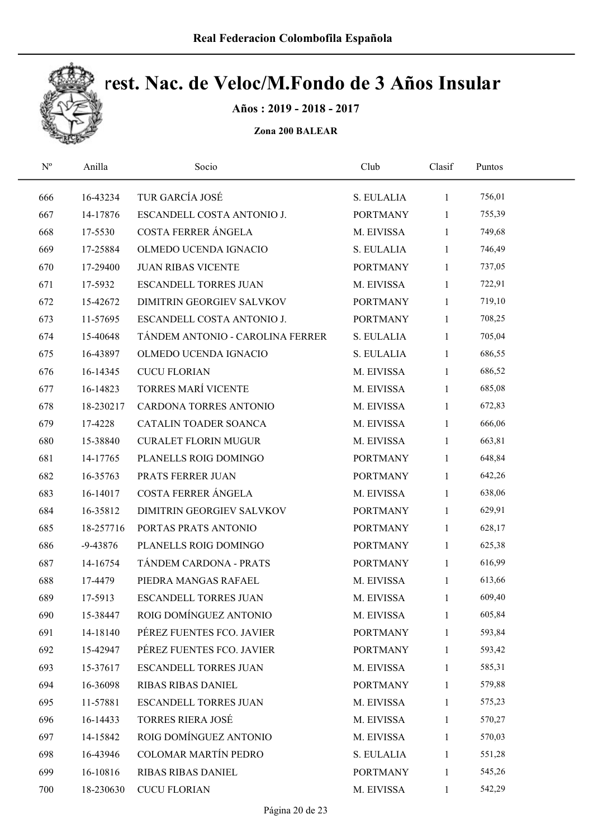

Años : 2019 - 2018 - 2017

| $\mathbf{N}^{\text{o}}$ | Anilla       | Socio                            | Club            | Clasif       | Puntos |  |
|-------------------------|--------------|----------------------------------|-----------------|--------------|--------|--|
| 666                     | 16-43234     | TUR GARCÍA JOSÉ                  | S. EULALIA      | $\mathbf{1}$ | 756,01 |  |
| 667                     | 14-17876     | ESCANDELL COSTA ANTONIO J.       | <b>PORTMANY</b> | 1            | 755,39 |  |
| 668                     | 17-5530      | COSTA FERRER ÁNGELA              | M. EIVISSA      | 1            | 749,68 |  |
| 669                     | 17-25884     | OLMEDO UCENDA IGNACIO            | S. EULALIA      | 1            | 746,49 |  |
| 670                     | 17-29400     | <b>JUAN RIBAS VICENTE</b>        | <b>PORTMANY</b> | $\mathbf{1}$ | 737,05 |  |
| 671                     | 17-5932      | <b>ESCANDELL TORRES JUAN</b>     | M. EIVISSA      | $\mathbf{1}$ | 722,91 |  |
| 672                     | 15-42672     | DIMITRIN GEORGIEV SALVKOV        | <b>PORTMANY</b> | $\mathbf{1}$ | 719,10 |  |
| 673                     | 11-57695     | ESCANDELL COSTA ANTONIO J.       | <b>PORTMANY</b> | $\mathbf{1}$ | 708,25 |  |
| 674                     | 15-40648     | TÁNDEM ANTONIO - CAROLINA FERRER | S. EULALIA      | 1            | 705,04 |  |
| 675                     | 16-43897     | OLMEDO UCENDA IGNACIO            | S. EULALIA      | $\mathbf{1}$ | 686,55 |  |
| 676                     | 16-14345     | <b>CUCU FLORIAN</b>              | M. EIVISSA      | $\mathbf{1}$ | 686,52 |  |
| 677                     | 16-14823     | <b>TORRES MARÍ VICENTE</b>       | M. EIVISSA      | $\mathbf{1}$ | 685,08 |  |
| 678                     | 18-230217    | CARDONA TORRES ANTONIO           | M. EIVISSA      | 1            | 672,83 |  |
| 679                     | 17-4228      | <b>CATALIN TOADER SOANCA</b>     | M. EIVISSA      | 1            | 666,06 |  |
| 680                     | 15-38840     | <b>CURALET FLORIN MUGUR</b>      | M. EIVISSA      | 1            | 663,81 |  |
| 681                     | 14-17765     | PLANELLS ROIG DOMINGO            | <b>PORTMANY</b> | $\mathbf{1}$ | 648,84 |  |
| 682                     | 16-35763     | PRATS FERRER JUAN                | <b>PORTMANY</b> | $\mathbf{1}$ | 642,26 |  |
| 683                     | 16-14017     | COSTA FERRER ÁNGELA              | M. EIVISSA      | $\mathbf{1}$ | 638,06 |  |
| 684                     | 16-35812     | DIMITRIN GEORGIEV SALVKOV        | <b>PORTMANY</b> | $\mathbf{1}$ | 629,91 |  |
| 685                     | 18-257716    | PORTAS PRATS ANTONIO             | <b>PORTMANY</b> | $\mathbf{1}$ | 628,17 |  |
| 686                     | $-9 - 43876$ | PLANELLS ROIG DOMINGO            | <b>PORTMANY</b> | $\mathbf{1}$ | 625,38 |  |
| 687                     | 14-16754     | TÁNDEM CARDONA - PRATS           | <b>PORTMANY</b> | $\mathbf{1}$ | 616,99 |  |
| 688                     | 17-4479      | PIEDRA MANGAS RAFAEL             | M. EIVISSA      | $\mathbf{1}$ | 613,66 |  |
| 689                     | 17-5913      | <b>ESCANDELL TORRES JUAN</b>     | M. EIVISSA      | $\mathbf{1}$ | 609,40 |  |
| 690                     | 15-38447     | ROIG DOMÍNGUEZ ANTONIO           | M. EIVISSA      | 1            | 605,84 |  |
| 691                     | 14-18140     | PÉREZ FUENTES FCO. JAVIER        | <b>PORTMANY</b> | 1            | 593,84 |  |
| 692                     | 15-42947     | PÉREZ FUENTES FCO. JAVIER        | <b>PORTMANY</b> | 1            | 593,42 |  |
| 693                     | 15-37617     | <b>ESCANDELL TORRES JUAN</b>     | M. EIVISSA      | 1            | 585,31 |  |
| 694                     | 16-36098     | <b>RIBAS RIBAS DANIEL</b>        | <b>PORTMANY</b> | $\mathbf{1}$ | 579,88 |  |
| 695                     | 11-57881     | <b>ESCANDELL TORRES JUAN</b>     | M. EIVISSA      | $\mathbf{1}$ | 575,23 |  |
| 696                     | 16-14433     | <b>TORRES RIERA JOSÉ</b>         | M. EIVISSA      | 1            | 570,27 |  |
| 697                     | 14-15842     | ROIG DOMÍNGUEZ ANTONIO           | M. EIVISSA      | 1            | 570,03 |  |
| 698                     | 16-43946     | <b>COLOMAR MARTÍN PEDRO</b>      | S. EULALIA      | 1            | 551,28 |  |
| 699                     | 16-10816     | <b>RIBAS RIBAS DANIEL</b>        | <b>PORTMANY</b> | 1            | 545,26 |  |
| 700                     | 18-230630    | <b>CUCU FLORIAN</b>              | M. EIVISSA      | $\mathbf{1}$ | 542,29 |  |
|                         |              |                                  |                 |              |        |  |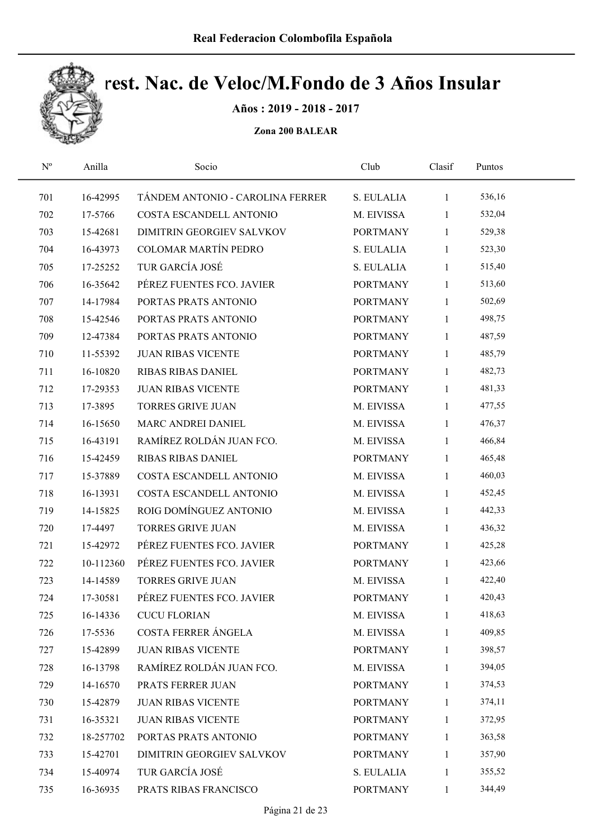

Años : 2019 - 2018 - 2017

| $\mathbf{N}^{\text{o}}$ | Anilla    | Socio                            | Club            | Clasif       | Puntos |  |
|-------------------------|-----------|----------------------------------|-----------------|--------------|--------|--|
| 701                     | 16-42995  | TÁNDEM ANTONIO - CAROLINA FERRER | S. EULALIA      | $\mathbf{1}$ | 536,16 |  |
| 702                     | 17-5766   | COSTA ESCANDELL ANTONIO          | M. EIVISSA      | $\mathbf{1}$ | 532,04 |  |
| 703                     | 15-42681  | DIMITRIN GEORGIEV SALVKOV        | <b>PORTMANY</b> | $\mathbf{1}$ | 529,38 |  |
| 704                     | 16-43973  | COLOMAR MARTÍN PEDRO             | S. EULALIA      | $\mathbf{1}$ | 523,30 |  |
| 705                     | 17-25252  | TUR GARCÍA JOSÉ                  | S. EULALIA      | $\mathbf{1}$ | 515,40 |  |
| 706                     | 16-35642  | PÉREZ FUENTES FCO. JAVIER        | <b>PORTMANY</b> | $\mathbf{1}$ | 513,60 |  |
| 707                     | 14-17984  | PORTAS PRATS ANTONIO             | <b>PORTMANY</b> | $\mathbf{1}$ | 502,69 |  |
| 708                     | 15-42546  | PORTAS PRATS ANTONIO             | <b>PORTMANY</b> | $\mathbf{1}$ | 498,75 |  |
| 709                     | 12-47384  | PORTAS PRATS ANTONIO             | <b>PORTMANY</b> | $\mathbf{1}$ | 487,59 |  |
| 710                     | 11-55392  | <b>JUAN RIBAS VICENTE</b>        | <b>PORTMANY</b> | $\mathbf{1}$ | 485,79 |  |
| 711                     | 16-10820  | <b>RIBAS RIBAS DANIEL</b>        | <b>PORTMANY</b> | $\mathbf{1}$ | 482,73 |  |
| 712                     | 17-29353  | <b>JUAN RIBAS VICENTE</b>        | <b>PORTMANY</b> | $\mathbf{1}$ | 481,33 |  |
| 713                     | 17-3895   | <b>TORRES GRIVE JUAN</b>         | M. EIVISSA      | $\mathbf{1}$ | 477,55 |  |
| 714                     | 16-15650  | MARC ANDREI DANIEL               | M. EIVISSA      | $\mathbf{1}$ | 476,37 |  |
| 715                     | 16-43191  | RAMÍREZ ROLDÁN JUAN FCO.         | M. EIVISSA      | $\mathbf{1}$ | 466,84 |  |
| 716                     | 15-42459  | RIBAS RIBAS DANIEL               | <b>PORTMANY</b> | $\mathbf{1}$ | 465,48 |  |
| 717                     | 15-37889  | COSTA ESCANDELL ANTONIO          | M. EIVISSA      | $\mathbf{1}$ | 460,03 |  |
| 718                     | 16-13931  | COSTA ESCANDELL ANTONIO          | M. EIVISSA      | $\mathbf{1}$ | 452,45 |  |
| 719                     | 14-15825  | ROIG DOMÍNGUEZ ANTONIO           | M. EIVISSA      | $\mathbf{1}$ | 442,33 |  |
| 720                     | 17-4497   | <b>TORRES GRIVE JUAN</b>         | M. EIVISSA      | $\mathbf{1}$ | 436,32 |  |
| 721                     | 15-42972  | PÉREZ FUENTES FCO. JAVIER        | <b>PORTMANY</b> | $\mathbf{1}$ | 425,28 |  |
| 722                     | 10-112360 | PÉREZ FUENTES FCO. JAVIER        | <b>PORTMANY</b> | $\mathbf{1}$ | 423,66 |  |
| 723                     | 14-14589  | <b>TORRES GRIVE JUAN</b>         | M. EIVISSA      | $\mathbf{1}$ | 422,40 |  |
| 724                     | 17-30581  | PÉREZ FUENTES FCO. JAVIER        | <b>PORTMANY</b> | $\mathbf{1}$ | 420,43 |  |
| 725                     | 16-14336  | <b>CUCU FLORIAN</b>              | M. EIVISSA      | 1            | 418,63 |  |
| 726                     | 17-5536   | COSTA FERRER ÁNGELA              | M. EIVISSA      | 1            | 409,85 |  |
| 727                     | 15-42899  | <b>JUAN RIBAS VICENTE</b>        | <b>PORTMANY</b> | 1            | 398,57 |  |
| 728                     | 16-13798  | RAMÍREZ ROLDÁN JUAN FCO.         | M. EIVISSA      | 1            | 394,05 |  |
| 729                     | 14-16570  | PRATS FERRER JUAN                | <b>PORTMANY</b> | $\mathbf{1}$ | 374,53 |  |
| 730                     | 15-42879  | <b>JUAN RIBAS VICENTE</b>        | <b>PORTMANY</b> | $\mathbf{1}$ | 374,11 |  |
| 731                     | 16-35321  | <b>JUAN RIBAS VICENTE</b>        | <b>PORTMANY</b> | $\mathbf{1}$ | 372,95 |  |
| 732                     | 18-257702 | PORTAS PRATS ANTONIO             | <b>PORTMANY</b> | $\mathbf{1}$ | 363,58 |  |
| 733                     | 15-42701  | DIMITRIN GEORGIEV SALVKOV        | <b>PORTMANY</b> | $\mathbf{1}$ | 357,90 |  |
| 734                     | 15-40974  | TUR GARCÍA JOSÉ                  | S. EULALIA      | 1            | 355,52 |  |
| 735                     | 16-36935  | PRATS RIBAS FRANCISCO            | <b>PORTMANY</b> | $\mathbf{1}$ | 344,49 |  |
|                         |           |                                  |                 |              |        |  |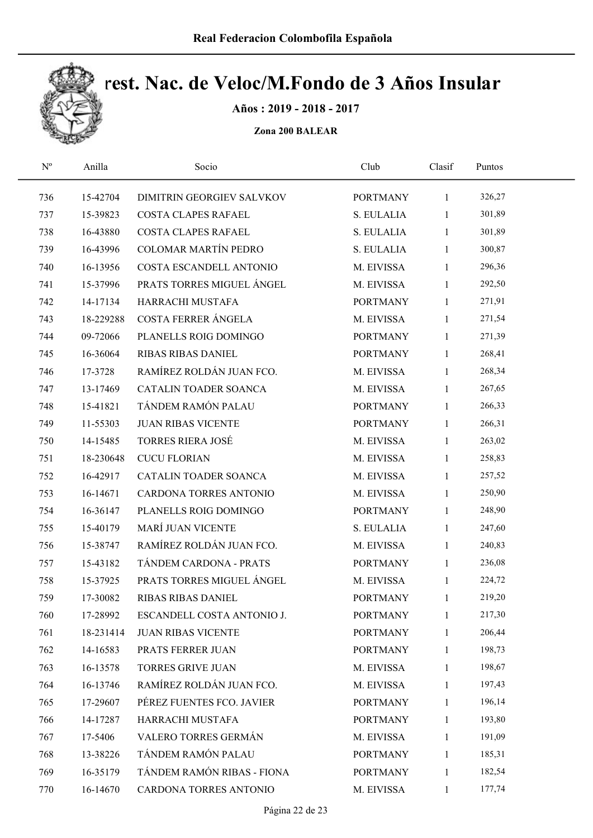

Años : 2019 - 2018 - 2017

| $\mathbf{N}^{\text{o}}$ | Anilla    | Socio                       | Club            | Clasif       | Puntos |  |
|-------------------------|-----------|-----------------------------|-----------------|--------------|--------|--|
| 736                     | 15-42704  | DIMITRIN GEORGIEV SALVKOV   | <b>PORTMANY</b> | $\mathbf{1}$ | 326,27 |  |
| 737                     | 15-39823  | <b>COSTA CLAPES RAFAEL</b>  | S. EULALIA      | $\mathbf{1}$ | 301,89 |  |
| 738                     | 16-43880  | COSTA CLAPES RAFAEL         | S. EULALIA      | $\mathbf{1}$ | 301,89 |  |
| 739                     | 16-43996  | <b>COLOMAR MARTÍN PEDRO</b> | S. EULALIA      | $\mathbf{1}$ | 300,87 |  |
| 740                     | 16-13956  | COSTA ESCANDELL ANTONIO     | M. EIVISSA      | $\mathbf{1}$ | 296,36 |  |
| 741                     | 15-37996  | PRATS TORRES MIGUEL ÁNGEL   | M. EIVISSA      | $\mathbf{1}$ | 292,50 |  |
| 742                     | 14-17134  | HARRACHI MUSTAFA            | <b>PORTMANY</b> | $\mathbf{1}$ | 271,91 |  |
| 743                     | 18-229288 | COSTA FERRER ÁNGELA         | M. EIVISSA      | $\mathbf{1}$ | 271,54 |  |
| 744                     | 09-72066  | PLANELLS ROIG DOMINGO       | <b>PORTMANY</b> | $\mathbf{1}$ | 271,39 |  |
| 745                     | 16-36064  | RIBAS RIBAS DANIEL          | <b>PORTMANY</b> | $\mathbf{1}$ | 268,41 |  |
| 746                     | 17-3728   | RAMÍREZ ROLDÁN JUAN FCO.    | M. EIVISSA      | $\mathbf{1}$ | 268,34 |  |
| 747                     | 13-17469  | CATALIN TOADER SOANCA       | M. EIVISSA      | $\mathbf{1}$ | 267,65 |  |
| 748                     | 15-41821  | TÁNDEM RAMÓN PALAU          | <b>PORTMANY</b> | 1            | 266,33 |  |
| 749                     | 11-55303  | <b>JUAN RIBAS VICENTE</b>   | <b>PORTMANY</b> | $\mathbf{1}$ | 266,31 |  |
| 750                     | 14-15485  | <b>TORRES RIERA JOSÉ</b>    | M. EIVISSA      | $\mathbf{1}$ | 263,02 |  |
| 751                     | 18-230648 | <b>CUCU FLORIAN</b>         | M. EIVISSA      | $\mathbf{1}$ | 258,83 |  |
| 752                     | 16-42917  | CATALIN TOADER SOANCA       | M. EIVISSA      | $\mathbf{1}$ | 257,52 |  |
| 753                     | 16-14671  | CARDONA TORRES ANTONIO      | M. EIVISSA      | $\mathbf{1}$ | 250,90 |  |
| 754                     | 16-36147  | PLANELLS ROIG DOMINGO       | <b>PORTMANY</b> | $\mathbf{1}$ | 248,90 |  |
| 755                     | 15-40179  | MARÍ JUAN VICENTE           | S. EULALIA      | $\mathbf{1}$ | 247,60 |  |
| 756                     | 15-38747  | RAMÍREZ ROLDÁN JUAN FCO.    | M. EIVISSA      | $\mathbf{1}$ | 240,83 |  |
| 757                     | 15-43182  | TÁNDEM CARDONA - PRATS      | <b>PORTMANY</b> | $\mathbf{1}$ | 236,08 |  |
| 758                     | 15-37925  | PRATS TORRES MIGUEL ÁNGEL   | M. EIVISSA      | $\mathbf{1}$ | 224,72 |  |
| 759                     | 17-30082  | RIBAS RIBAS DANIEL          | <b>PORTMANY</b> | $\mathbf{1}$ | 219,20 |  |
| 760                     | 17-28992  | ESCANDELL COSTA ANTONIO J.  | <b>PORTMANY</b> | 1            | 217,30 |  |
| 761                     | 18-231414 | <b>JUAN RIBAS VICENTE</b>   | <b>PORTMANY</b> | 1            | 206,44 |  |
| 762                     | 14-16583  | PRATS FERRER JUAN           | <b>PORTMANY</b> | 1            | 198,73 |  |
| 763                     | 16-13578  | <b>TORRES GRIVE JUAN</b>    | M. EIVISSA      | 1            | 198,67 |  |
| 764                     | 16-13746  | RAMÍREZ ROLDÁN JUAN FCO.    | M. EIVISSA      | 1            | 197,43 |  |
| 765                     | 17-29607  | PÉREZ FUENTES FCO. JAVIER   | <b>PORTMANY</b> | $\mathbf{1}$ | 196,14 |  |
| 766                     | 14-17287  | HARRACHI MUSTAFA            | <b>PORTMANY</b> | $\mathbf{1}$ | 193,80 |  |
| 767                     | 17-5406   | VALERO TORRES GERMÁN        | M. EIVISSA      | 1            | 191,09 |  |
| 768                     | 13-38226  | TÁNDEM RAMÓN PALAU          | <b>PORTMANY</b> | 1            | 185,31 |  |
| 769                     | 16-35179  | TÁNDEM RAMÓN RIBAS - FIONA  | <b>PORTMANY</b> | $\mathbf{1}$ | 182,54 |  |
| 770                     | 16-14670  | CARDONA TORRES ANTONIO      | M. EIVISSA      | $\mathbf{1}$ | 177,74 |  |